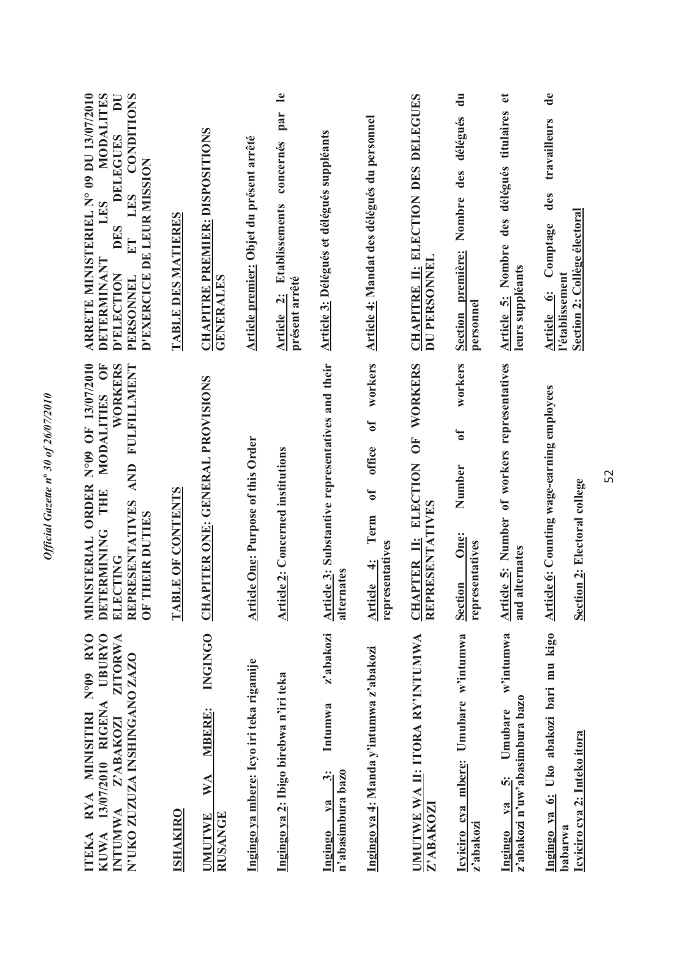| $\breve{\phantom{a}}$<br>۵.<br>Ś<br>ı              |
|----------------------------------------------------|
| ∍<br>S<br>ॅ<br>š<br>ť<br>é                         |
| To<br>,<br>$\mathcal{S}$<br>i                      |
| $\mathbf{u}^{\mathrm{o}}$<br>í<br>ť<br>à<br>í<br>I |
| ζ<br>$\ddot{\phantom{a}}$<br>ξ<br>₹                |
|                                                    |

| N°09 RYO<br><b>UBURYO</b><br>ZITORWA<br>N'UKO ZUZUZA INSHINGANO ZAZO<br>13/07/2010 RIGENA<br>RYA MINISITIRI<br>Z'ABAKOZI<br><b>INTUNIWA</b><br><b>ISHAKIRO</b><br><b>KUWA</b><br><b>ITEKA</b> | MINISTERIAL ORDER N°09 OF 13/07/2010<br>MODALITIES OF<br>WORKERS<br>AND FULFILLMENT<br>TABLE OF CONTENTS<br>THE<br>RESENTATIVES<br>OF THEIR DUTIES<br><b>ERMINING</b><br>CTING<br>DET<br>ELE<br><b>REP</b> | MODALITES<br><b>CONDITIONS</b><br>ARRETE MINISTERIEL N° 09 DU 13/07/2010<br>DU<br>DELEGUES<br>D'EXERCICE DE LEUR MISSION<br>LES<br>LES<br>TABLE DES MATIERES<br>DES<br>ET<br>DETERMINANT<br>D'ELECTION<br>PERSONNEL |
|-----------------------------------------------------------------------------------------------------------------------------------------------------------------------------------------------|------------------------------------------------------------------------------------------------------------------------------------------------------------------------------------------------------------|---------------------------------------------------------------------------------------------------------------------------------------------------------------------------------------------------------------------|
| <b>INGINGO</b><br><b>MBERE:</b><br>WA<br><b>RUSANGE</b><br><b>UMUTWE</b>                                                                                                                      | <b>CHAPITER ONE: GENERAL PROVISIONS</b>                                                                                                                                                                    | <b>CHAPITRE PREMIER: DISPOSITIONS</b><br>GENERALES                                                                                                                                                                  |
| Ingingo ya mbere: Icyo iri teka rigamije                                                                                                                                                      | <b>Article One: Purpose of this Order</b>                                                                                                                                                                  | Article premier: Objet du présent arrêté                                                                                                                                                                            |
| Ingingo ya 2: Ibigo birebwa n'iri teka                                                                                                                                                        | cle 2: Concerned institutions<br><u>Arti</u>                                                                                                                                                               | $\mathbf{e}$<br>par<br>concernés<br>Article 2: Etablissements<br>présent arrêté                                                                                                                                     |
| z'abakozi<br>Intumwa<br>n'abasimbura bazo<br>$\ddot{\bm{5}}$<br>ya<br><b>Ingingo</b>                                                                                                          | Article 3: Substantive representatives and their<br>alternates                                                                                                                                             | Article 3: Délégués et délégués suppléants                                                                                                                                                                          |
| Ingingo ya 4: Manda y'intumwa z'abakozi                                                                                                                                                       | workers<br>$\sigma$<br>office<br>$\mathfrak{h}$<br>Term<br>representatives<br>Article 4:                                                                                                                   | Article 4: Mandat des délégués du personnel                                                                                                                                                                         |
| UMUTWE WA II: ITORA RY'INTUMWA<br>Z'ABAKOZI                                                                                                                                                   | WORKERS<br>UF <sub>1</sub><br>CHAPTER II: ELECTION<br><b>RESENTATIVES</b><br><b>REP</b>                                                                                                                    | CHAPITRE II: ELECTION DES DELEGUES<br><b>DU PERSONNEL</b>                                                                                                                                                           |
| Icyiciro cya mbere: Umubare w'intumwa<br>z'abakozi                                                                                                                                            | workers<br>ð<br>Number<br>One:<br>representatives<br><b>Section</b>                                                                                                                                        | $\frac{1}{2}$<br>délégués<br>Nombre des<br>Section première:<br>personnel                                                                                                                                           |
| w'intumwa<br>z'abakozi n'uw'abasimbura bazo<br>Umubare<br>$\ddot{\bm{c}}$<br>$1$<br>Ingingo                                                                                                   | Article 5: Number of workers representatives<br>alternates<br>and                                                                                                                                          | $\bullet$<br>Article 5: Nombre des délégués titulaires<br>leurs suppléants                                                                                                                                          |
| Ingingo ya 6: Uko abakozi bari mu kigo<br>Icviciro cya 2: Inteko itora<br>babarwa                                                                                                             | <b>Article 6: Counting wage-earning employees</b>                                                                                                                                                          | $\mathbf{d}\mathbf{e}$<br>travailleurs<br>des<br>Section 2: Collège électoral<br><b>Article 6:</b> Comptage<br>l'établissement                                                                                      |
|                                                                                                                                                                                               | Section 2: Electoral college                                                                                                                                                                               |                                                                                                                                                                                                                     |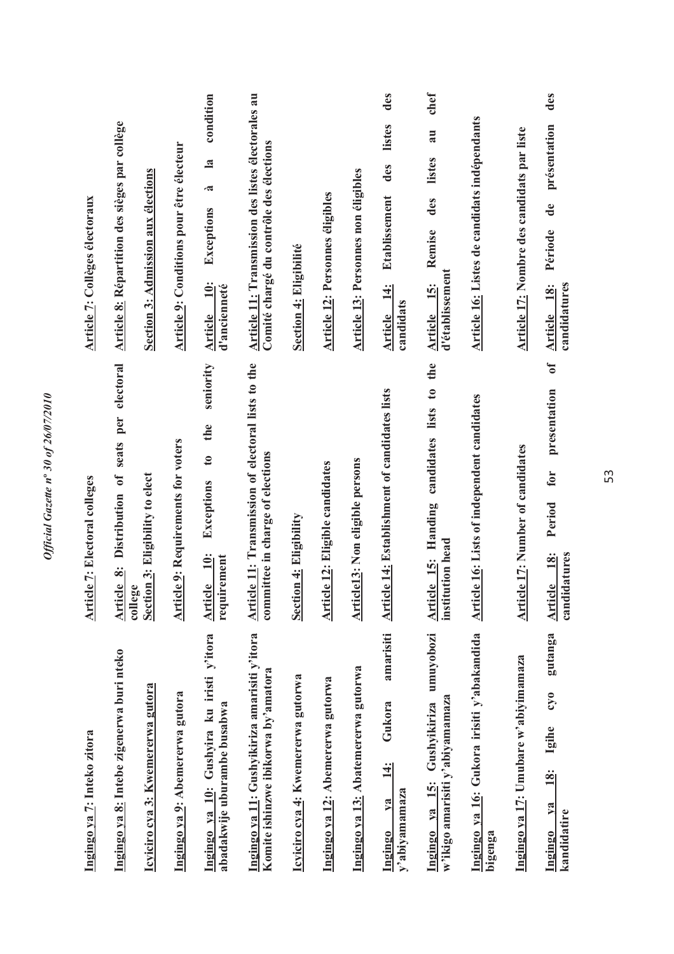| Ingingo ya 7: Inteko zitora                                                          | cle 7: Electoral colleges<br><b>Arti</b>                                                  | <b>Article 7: Collèges électoraux</b>                                                             |
|--------------------------------------------------------------------------------------|-------------------------------------------------------------------------------------------|---------------------------------------------------------------------------------------------------|
| Ingingo ya 8: Intebe zigenerwa buri nteko                                            | Distribution of seats per electoral<br>Article 8:                                         | Article 8: Répartition des sièges par collège                                                     |
| Icyiciro cya 3: Kwemererwa gutora                                                    | Section 3: Eligibility to elect<br>college                                                | Section 3: Admission aux élections                                                                |
| Ingingo ya 9: Abemererwa gutora                                                      | cle 9: Requirements for voters<br><b>Arti</b>                                             | Article 9: Conditions pour être électeur                                                          |
| Ingingo ya 10: Gushyira ku iristi y'itora<br>abadakwije uburambe busabwa             | seniority<br>the<br>$\mathbf{c}$<br>Exceptions<br>Article 10:<br>requirement              | condition<br>$\mathbf{a}$<br>.ಷ<br>Exceptions<br>$10$ :<br>d'ancienneté<br><b>Article</b>         |
| Ingingo ya 11: Gushyikiriza amarisiti y'itora<br>Komite ishinzwe ibikorwa by'amatora | Article 11: Transmission of electoral lists to the<br>committee in charge of elections    | Article 11: Transmission des listes électorales au<br>Comité chargé du contrôle des élections     |
| Icyiciro cya 4: Kwemererwa gutorwa                                                   | <b>Section 4: Eligibility</b>                                                             | Section 4: Eligibilité                                                                            |
| Ingingo ya 12: Abemererwa gutorwa                                                    | <b>Article 12: Eligible candidates</b>                                                    | <b>Article 12: Personnes éligibles</b>                                                            |
| Ingingo ya 13: Abatemererwa gutorwa                                                  | cle13: Non eligible persons<br><b>Arti</b>                                                | <b>Article 13: Personnes non éligibles</b>                                                        |
| amarisiti<br>Gukora<br>$\frac{4}{1}$<br>y'abiyamamaza<br>$ya$<br>Ingingo             | cle 14: Establishment of candidates lists<br>Arti                                         | des<br>listes<br>des<br><b>Etablissement</b><br>$\frac{4}{1}$<br>candidats<br><b>Article</b>      |
| umuyobozi<br>w'ikigo amarisiti y'abiyamamaza<br>Gushyikiriza<br>Ingingo ya 15:       | the<br>candidates lists to<br><b>Article 15: Handing</b><br>institution head              | chef<br>au<br>listes<br>des<br>Remise<br>d'établissement<br>Article 15:                           |
| Ingingo ya 16: Gukora irisiti y'abakandida<br>bigenga                                | <b>Article 16:</b> Lists of independent candidates                                        | Article 16: Listes de candidats indépendants                                                      |
| Ingingo ya 17: Umubare w'abiyimamaza                                                 | cle 17: Number of candidates<br><u>Arti</u>                                               | Article 17: Nombre des candidats par liste                                                        |
| gutanga<br>$0\hat{\Lambda}$<br>Igihe<br>18:<br>$1$<br>kandidatire<br>Ingingo         | $\sigma$<br>presentation<br>for<br>Period<br><b>18:</b><br>candidatures<br><b>Article</b> | des<br>présentation<br>$\mathbf{d}\mathbf{e}$<br>Période<br>candidatures<br><u>18:</u><br>Article |

Official Gazette nº 30 of 26/07/2010 *Official Gazette n***º** *30 of 26/07/2010*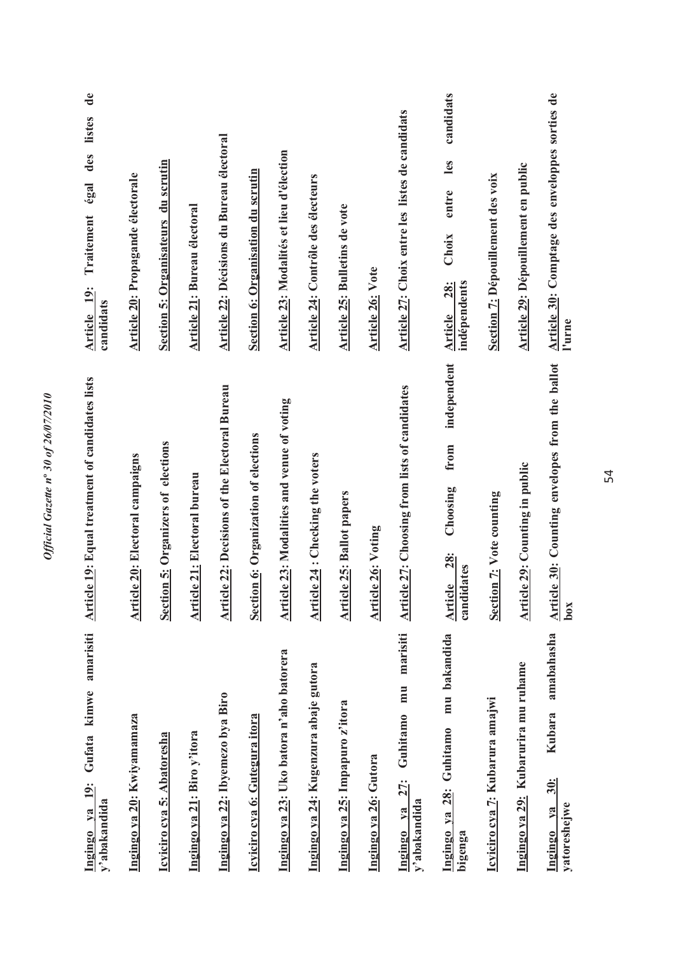| amarisiti<br>kimwe<br>Gufata<br>$\frac{19}{1}$<br>y'abakandida<br>Ingingo va | cle 19: Equal treatment of candidates lists<br><b>Artic</b>  | $\mathbf{d}\mathbf{e}$<br>listes<br>des<br>égal<br>Traitement<br>Article 19:<br>candidats |
|------------------------------------------------------------------------------|--------------------------------------------------------------|-------------------------------------------------------------------------------------------|
| Ingingo ya 20: Kwiyamamaza                                                   | Article 20: Electoral campaigns                              | <b>Article 20: Propagande électorale</b>                                                  |
| Icyiciro cya 5: Abatoresha                                                   | <b>Section 5: Organizers of elections</b>                    | Section 5: Organisateurs du scrutin                                                       |
| Ingingo ya 21: Biro y'itora                                                  | Article 21: Electoral bureau                                 | <b>Article 21: Bureau électoral</b>                                                       |
| Ingingo ya 22: Ibyemezo bya Biro                                             | Article 22: Decisions of the Electoral Bureau                | Article 22: Décisions du Bureau électoral                                                 |
| Icylciro cya 6: Gutegura itora                                               | Section 6: Organization of elections                         | Section 6: Organisation du scrutin                                                        |
| Ingingo ya 23: Uko batora n'aho batorera                                     | Article 23: Modalities and venue of voting                   | Article 23: Modalités et lieu d'élection                                                  |
| Ingingo ya 24: Kugenzura abaje gutora                                        | Article 24 : Checking the voters                             | Article 24: Contrôle des électeurs                                                        |
| Ingingo ya 25: Impapuro z'itora                                              | cle 25: Ballot papers<br><b>Artic</b>                        | Article 25: Bulletins de vote                                                             |
| Ingingo ya 26: Gutora                                                        | <b>Article 26: Voting</b>                                    | <b>Article 26: Vote</b>                                                                   |
| marisiti<br>mu<br>Guhitamo<br>27:<br>y'abakandida<br>Ingingo va              | <b>Article 27: Choosing from lists of candidates</b>         | Article 27: Choix entre les listes de candidats                                           |
| mu bakandida<br>Guhitamo<br>28:<br>Ingingo ya<br>bigenga                     | independent<br>from<br>Choosing<br>Article 28:<br>candidates | candidats<br>les<br>entre<br>Choix<br>indépendents<br><b>28:</b><br><b>Article</b>        |
| Icyiciro cya 7: Kubarura amajwi                                              | Section 7: Vote counting                                     | Section 7: Dépouillement des voix                                                         |
| Ingingo ya 29: Kubarurira mu ruhame                                          | Article 29: Counting in public                               | <b>Article 29: Dépouillement en public</b>                                                |
| amabahasha<br>Kubara<br>30:<br>yatoreshejwe<br>$1$<br>Ingingo                | Article 30: Counting envelopes from the ballot<br>box        | Article 30: Comptage des enveloppes sorties de<br>l'urne                                  |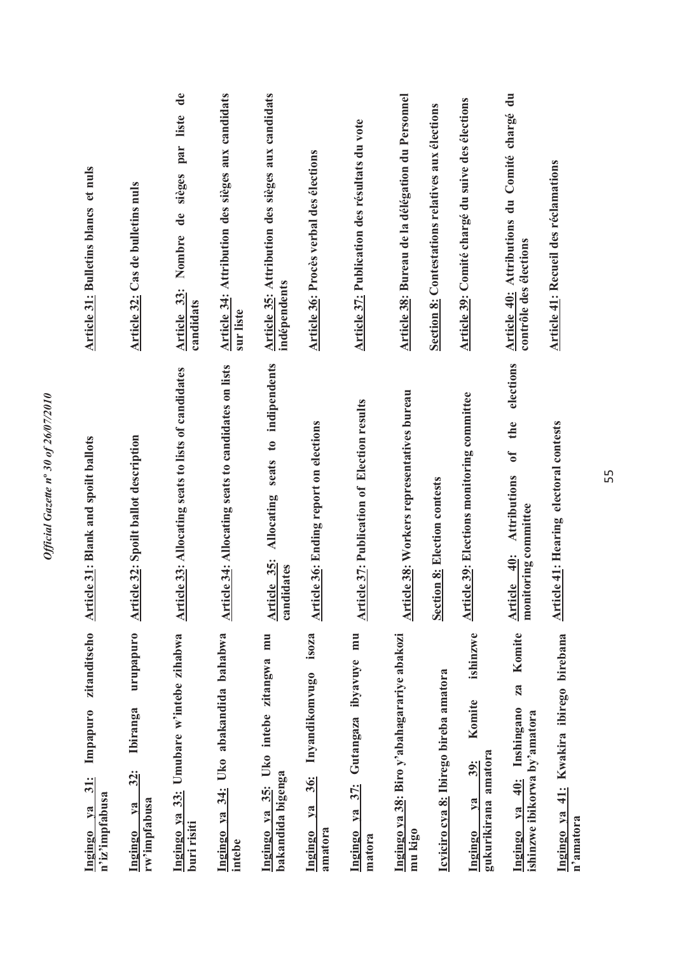| zitanditseho<br>Impapuro<br>$31$ :<br>n'iz'impfabusa<br>$1$<br>Ingingo                    | cle 31: Blank and spoilt ballots<br>Arti                                        | <b>Article 31: Bulletins blancs et nuls</b>                                               |
|-------------------------------------------------------------------------------------------|---------------------------------------------------------------------------------|-------------------------------------------------------------------------------------------|
| urupapuro<br>Ibiranga<br>$32$ :<br>rw'impfabusa<br>$1$<br>Ingingo                         | <b>Article 32: Spoilt ballot description</b>                                    | Article 32: Cas de bulletins nuls                                                         |
| 33: Umubare w'intebe zihabwa<br>Ingingo ya<br>buri risiti                                 | <b>Article 33: Allocating seats to lists of candidates</b>                      | $\mathbf{d}\mathbf{e}$<br>liste<br>par<br>sièges<br>Nombre de<br>Article 33:<br>candidats |
| Ingingo ya 34: Uko abakandida bahabwa<br>intebe                                           | Article 34: Allocating seats to candidates on lists                             | Article 34: Attribution des sièges aux candidats<br>sur liste                             |
| mu<br>Uko intebe zitangwa<br>bakandida bigenga<br>35:<br>Ingingo ya                       | seats to indipendents<br>Allocating<br>Article 35:<br>candidates                | Article 35: Attribution des sièges aux candidats<br>indépendents                          |
| isoza<br>Inyandikomvugo<br>36:<br>ya<br>amatora<br><b>Ingingo</b>                         | <b>Article 36: Ending report on elections</b>                                   | Article 36: Procès verbal des élections                                                   |
| mu<br>ibyavuye<br>Gutangaza<br>37:<br>Ingingo ya<br>matora                                | Article 37: Publication of Election results                                     | Article 37: Publication des résultats du vote                                             |
| Ingingo ya 38: Biro y'abahagarariye abakozi<br>mu kigo                                    | cle 38: Workers representatives bureau<br><u>Arti</u>                           | Article 38: Bureau de la délégation du Personnel                                          |
| Icyiciro cya 8: Ibirego bireba amatora                                                    | <b>Section 8: Election contests</b>                                             | Section 8: Contestations relatives aux élections                                          |
| ishinzwe<br>Komite<br>gukurikirana amatora<br>39:<br>$1$<br>Ingingo                       | cle 39: Elections monitoring committee<br><b>Arti</b>                           | Article 39: Comité chargé du suive des élections                                          |
| Komite<br>za<br>Inshingano<br>ishinzwe ibikorwa by'amatora<br>$\ddot{=}$<br>ya<br>Ingingo | elections<br>the<br>t<br>Attributions<br>monitoring committee<br>40:<br>Article | Article 40: Attributions du Comité chargé du<br>contrôle des élections                    |
| Ingingo ya 41: Kwakira ibirego birebana<br>n'amatora                                      | cle 41: Hearing electoral contests<br><b>Arti</b>                               | Article 41: Recueil des réclamations                                                      |

*Official Gazette n***º** *30 of 26/07/2010* 

Official Gazette nº 30 of 26/07/2010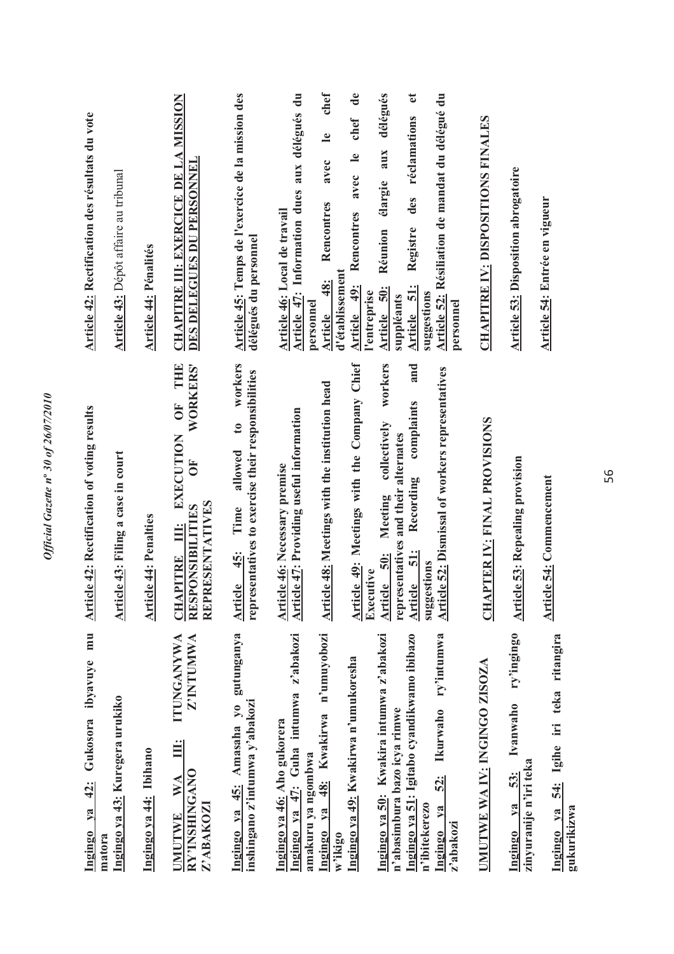| mu<br>Ingingo ya 42: Gukosora ibyavuye<br>matora                                                                       | <b>Article 42: Rectification of voting results</b>                                                                                                                             | <b>Article 42: Rectification des résultats du vote</b>                                                                                                                                  |
|------------------------------------------------------------------------------------------------------------------------|--------------------------------------------------------------------------------------------------------------------------------------------------------------------------------|-----------------------------------------------------------------------------------------------------------------------------------------------------------------------------------------|
| Ingingo ya 43: Kuregera urukiko                                                                                        | Article 43: Filing a case in court                                                                                                                                             | Article 43: Dépôt affaire au tribunal                                                                                                                                                   |
| Ingingo ya 44: Ibihano                                                                                                 | cle 44: Penalties<br><u>Arti</u>                                                                                                                                               | <b>Article 44: Pénalités</b>                                                                                                                                                            |
| <b>ITUNGANYWA</b><br>Z'INTUMWA<br>Ë<br>RY'INSHINGANO<br>WA<br>Z'ABAKOZ<br><b>UMUTWE</b>                                | THE<br><b>WORKERS'</b><br>ÖF<br><b>EXECUTION</b><br>$\overline{\bf 6}$<br>REPRESENTATIVES<br>RESPONSIBILITIES<br>Ë<br><b>CHAPITRE</b>                                          | CHAPITRE III: EXERCICE DE LA MISSION<br>DES DELEGUES DU PERSONNEL                                                                                                                       |
| Ingingo ya 45: Amasaha yo gutunganya<br>inshingano z'intumwa y'abakozi                                                 | workers<br>representatives to exercise their responsibilities<br>$\mathfrak{g}$<br>allowed<br>Time<br>Article 45:                                                              | Article 45: Temps de l'exercice de la mission des<br>délégués du personnel                                                                                                              |
| z'abakozi<br>47: Guha intumwa<br>Ingingo ya 46: Aho gukorera<br>amakuru ya ngombwa<br>Ingingo ya                       | <b>Article 47: Providing useful information</b><br>Article 46: Necessary premise                                                                                               | Article 47: Information dues aux délégués du<br>Article 46: Local de travail<br>personnel                                                                                               |
| n'umuyobozi<br>Ingingo ya 49: Kwakirwa n'umukoresha<br>48: Kwakirwa<br>$y$ a<br><b>Ingingo</b><br>w'ikigo              | Article 49: Meetings with the Company Chief<br>Article 48: Meetings with the institution head                                                                                  | chef<br>$\mathbf{d}\mathbf{e}$<br>chef<br>$\mathbf{e}$<br>$\mathbf{e}$<br>avec<br>avec<br>Rencontres<br>Rencontres<br>d'établissement<br>48:<br>49:<br><b>Article</b><br><b>Article</b> |
| Ingingo ya 50: Kwakira intumwa z'abakozi<br>Ingingo ya 51: Igitabo cyandikwamo ibibazo<br>n'abasimbura bazo icya rimwe | workers<br>and<br>complaints<br>collectively<br>representatives and their alternates<br>Recording<br>Meeting<br>$\frac{1}{2}$<br>50:<br>Executive<br>Article<br><b>Article</b> | délégués<br>đ<br>des réclamations<br>aux<br>élargie<br>Registre<br>Réunion<br>$\ddot{5}$<br><u> 50:</u><br>l'entreprise<br>suppléants<br><b>Article</b><br><b>Article</b>               |
| ry'intumwa<br>Ikurwaho<br>$\frac{52}{3}$<br>n'ibitekerezo<br>ya<br>z'abakozi<br>Ingingo                                | Article 52: Dismissal of workers representatives<br>suggestions                                                                                                                | Article 52: Résiliation de mandat du délégué du<br>suggestions<br>personnel                                                                                                             |
| UMUTWE WA IV: INGINGO ZISOZA                                                                                           | <b>CHAPTER IV: FINAL PROVISIONS</b>                                                                                                                                            | <b>CHAPITRE IV: DISPOSITIONS FINALES</b>                                                                                                                                                |
| ry'ingingo<br>Ivanwaho<br>zinyuranije n'iri teka<br>53:<br>V2<br><b>Ingingo</b>                                        | cle 53: Repealing provision<br><b>Arti</b>                                                                                                                                     | <b>Article 53: Disposition abrogatoire</b>                                                                                                                                              |
| 54: Igihe iri teka ritangira<br>Ingingo ya<br>gukurikizwa                                                              | <b>Article 54: Commencement</b>                                                                                                                                                | Article 54: Entrée en vigueur                                                                                                                                                           |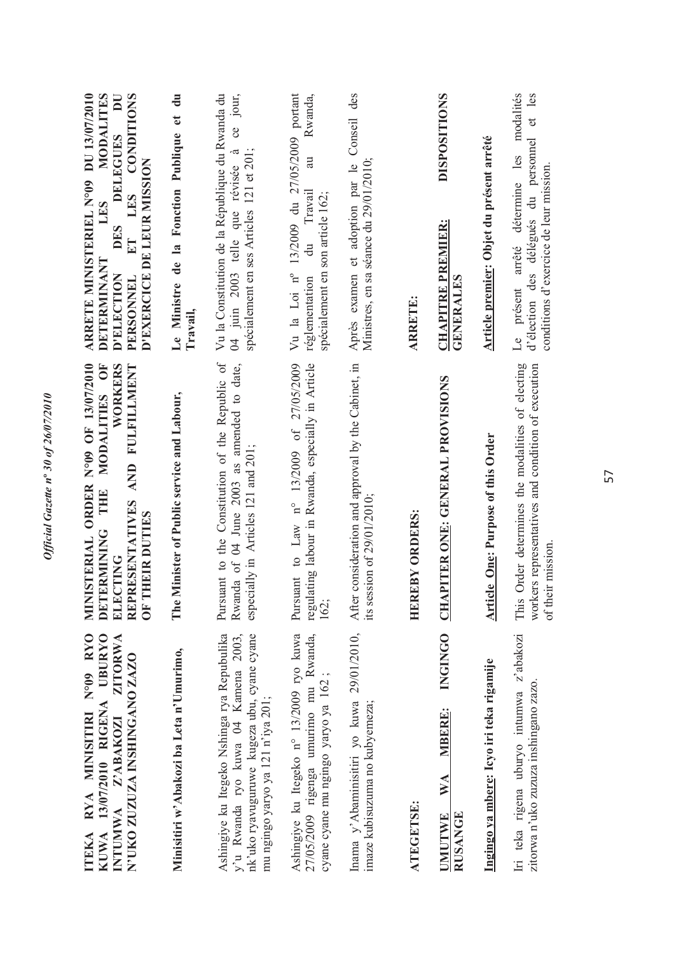| N°09 RYO<br><b>UBURYO</b><br><b>ZITORWA</b><br>N'UKO ZUZUZA INSHINGANO ZAZO<br>13/07/2010 RIGENA<br>RYA MINISITIRI<br>INTUMWA Z'ABAKOZI<br><b>KUWA</b><br><b>TTEKA</b> | ISTERIAL ORDER N°09 OF 13/07/2010<br>WORKERS<br>AND FULFILLMENT<br>MODALITIES OF<br>THIE<br>REPRESENTATIVES<br><b>OF THEIR DUTIES</b><br>DETERMINING<br>ELECTING<br>MINI | ARRETE MINISTERIEL N°09 DU 13/07/2010<br>MODALITES<br>DES DELEGUES DU<br>ET LES CONDITIONS<br>D'EXERCICE DE LEUR MISSION<br>LES<br>DETERMINANT<br><b>D'ELECTION</b><br>PERSONNEL |
|------------------------------------------------------------------------------------------------------------------------------------------------------------------------|--------------------------------------------------------------------------------------------------------------------------------------------------------------------------|----------------------------------------------------------------------------------------------------------------------------------------------------------------------------------|
| Minisitiri w'Abakozi ba Leta n'Umurimo,                                                                                                                                | The Minister of Public service and Labour,                                                                                                                               | Le Ministre de la Fonction Publique et du<br>Travail,                                                                                                                            |
| Ashingiye ku Itegeko Nshinga rya Repubulika<br>nk'uko ryavuguruwe kugeza ubu, cyane cyane<br>y'u Rwanda ryo kuwa 04 Kamena 2003,<br>mu ngingo yaryo ya 121 n'iya 201;  | Pursuant to the Constitution of the Republic of<br>Rwanda of 04 June 2003 as amended to date,<br>especially in Articles 121 and 201;                                     | Vu la Constitution de la République du Rwanda du<br>ce jour,<br>spécialement en ses Articles 121 et 201;<br>04 juin 2003 telle que révisée à                                     |
| Ashingiye ku Itegeko n° 13/2009 ryo kuwa<br>27/05/2009 rigenga umurimo mu Rwanda,<br>cyane cyane mu ngingo yaryo ya 162;                                               | regulating labour in Rwanda, especially in Article<br>Pursuant to Law n° 13/2009 of 27/05/2009<br>162;                                                                   | 13/2009 du 27/05/2009 portant<br>Rwanda,<br>au<br>du Travail<br>spécialement en son article 162;<br>$Vu$ la Loi $n^o$<br>réglementation                                          |
| Inama y'Abaminisitiri yo kuwa 29/01/2010,<br>imaze kubisuzuma no kubyemeza;                                                                                            | consideration and approval by the Cabinet, in<br>its session of $29/01/2010$ ;<br>After                                                                                  | Conseil des<br>Ministres, en sa séance du 29/01/2010;<br>Après examen et adoption par le                                                                                         |
| <b>ATEGETSE:</b>                                                                                                                                                       | <b>EBY ORDERS:</b><br><b>HERI</b>                                                                                                                                        | <b>ARRETE:</b>                                                                                                                                                                   |
| <b>INGINGO</b><br><b>MBERE:</b><br>WA<br><b>UMUTWE</b><br><b>RUSANGE</b>                                                                                               | <b>CHAPITER ONE: GENERAL PROVISIONS</b>                                                                                                                                  | <b>DISPOSITIONS</b><br><b>CHAPITRE PREMIER:</b><br><b>GENERALES</b>                                                                                                              |
| Ingingo ya mbere: Icyo iri teka rigamije                                                                                                                               | <b>Article One: Purpose of this Order</b>                                                                                                                                | Article premier: Objet du présent arrêté                                                                                                                                         |
| Iri teka rigena uburyo intumwa z'abakozi<br>zitorwa n'uko zuzuza inshingano zazo.                                                                                      | This Order determines the modalities of electing<br>workers representatives and condition of execution<br>of their mission.                                              | modalités<br>d'élection des délégués du personnel et les<br>Le présent arrêté détermine les<br>conditions d'exercice de leur mission.                                            |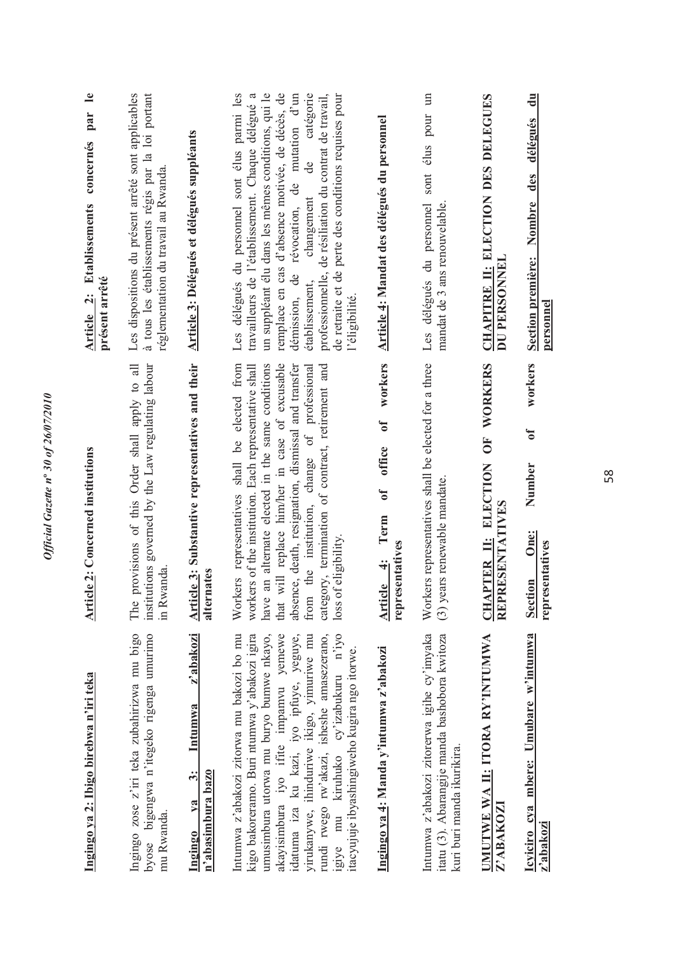| Ingingo ya 2: Ibigo birebwa n'iri teka                                                                                                                                                                                                                                                                                                                                                                       | <b>Article 2: Concerned institutions</b>                                                                                                                                                                                                                                                                                                                                                                           | $\mathbf{e}$<br>par<br>Article 2: Etablissements concernés<br>présent arrêté                                                                                                                                                                                                                                                                                                                                                                         |
|--------------------------------------------------------------------------------------------------------------------------------------------------------------------------------------------------------------------------------------------------------------------------------------------------------------------------------------------------------------------------------------------------------------|--------------------------------------------------------------------------------------------------------------------------------------------------------------------------------------------------------------------------------------------------------------------------------------------------------------------------------------------------------------------------------------------------------------------|------------------------------------------------------------------------------------------------------------------------------------------------------------------------------------------------------------------------------------------------------------------------------------------------------------------------------------------------------------------------------------------------------------------------------------------------------|
| Ingingo zose z'iri teka zubahirizwa mu bigo<br>byose bigengwa n'itegeko rigenga umurimo<br>mu Rwanda.                                                                                                                                                                                                                                                                                                        | institutions governed by the Law regulating labour<br>provisions of this Order shall apply to all<br>in Rwanda.<br>The $\mathbf{r}$                                                                                                                                                                                                                                                                                | à tous les établissements régis par la loi portant<br>Les dispositions du présent arrêté sont applicables<br>réglementation du travail au Rwanda.                                                                                                                                                                                                                                                                                                    |
| z'abakozi<br>Intumwa<br>$\ddot{\bm{x}}$<br>n'abasimbura bazo<br>ya<br>Ingingo                                                                                                                                                                                                                                                                                                                                | Article 3: Substantive representatives and their<br>rates<br>altern                                                                                                                                                                                                                                                                                                                                                | Article 3: Délégués et délégués suppléants                                                                                                                                                                                                                                                                                                                                                                                                           |
| Intumwa z'abakozi zitorwa mu bakozi bo mu<br>kigo bakoreramo. Buri ntumwa y'abakozi igira<br>yirukanywe, ihinduriwe ikigo, yimuriwe mu<br>igiye mu kiruhuko cy'izabukuru n'iyo<br>umusimbura utorwa mu buryo bumwe nkayo,<br>akayisimbura iyo ifite impamvu yemewe<br>rundi rwego rw'akazi, isheshe amasezerano,<br>idatuma iza ku kazi, iyo ipfuye, yeguye,<br>itacyujuje ibyashingiweho kugira ngo itorwe. | Workers representatives shall be elected from<br>will replace him/her in case of excusable<br>absence, death, resignation, dismissal and transfer<br>an alternate elected in the same conditions<br>the institution, change of professional<br>category, termination of contract, retirement and<br>workers of the institution. Each representative shall<br>loss of eligibility.<br>that $\nabla$<br>from<br>have | Les délégués du personnel sont élus parmi les<br>catégorie<br>travailleurs de l'établissement. Chaque délégué a<br>un suppléant élu dans les mêmes conditions, qui le<br>remplace en cas d'absence motivée, de décès, de<br>démission, de révocation, de mutation d'un<br>professionnelle, de résiliation du contrat de travail,<br>de retraite et de perte des conditions requises pour<br>ප්<br>ප<br>changement<br>établissement,<br>l'éligibilité |
| Ingingo ya 4: Manda y'intumwa z'abakozi                                                                                                                                                                                                                                                                                                                                                                      | workers<br>ð<br>office<br>$\mathfrak{b}$<br>Term<br>representatives<br>$\ddot{ }$<br><b>Article</b>                                                                                                                                                                                                                                                                                                                | Article 4: Mandat des délégués du personnel                                                                                                                                                                                                                                                                                                                                                                                                          |
| Intumwa z'abakozi zitorerwa igihe cy'imyaka<br>itatu (3). Abarangije manda bashobora kwitoza<br>kuri buri manda ikurikira.                                                                                                                                                                                                                                                                                   | Workers representatives shall be elected for a three<br>(3) years renewable mandate.                                                                                                                                                                                                                                                                                                                               | $\mathbb{H}$<br>sont élus pour<br>Les délégués du personnel<br>mandat de 3 ans renouvelable.                                                                                                                                                                                                                                                                                                                                                         |
| <b>IMUTWE WA II: ITORA RY'INTUMWA</b><br>Z'ABAKOZI                                                                                                                                                                                                                                                                                                                                                           | WORKERS<br>UF <sub>1</sub><br>CHAPTER II: ELECTION<br>REPRESENTATIVES                                                                                                                                                                                                                                                                                                                                              | CHAPITRE II: ELECTION DES DELEGUES<br>DU PERSONNEL                                                                                                                                                                                                                                                                                                                                                                                                   |
| Icyiciro cya mbere: Umubare w'intumwa<br>z'abakozi                                                                                                                                                                                                                                                                                                                                                           | workers<br>ð<br>Number<br>One:<br>representatives<br><b>Section</b>                                                                                                                                                                                                                                                                                                                                                | $\ddot{=}$<br>Section première: Nombre des délégués<br>personnel                                                                                                                                                                                                                                                                                                                                                                                     |
|                                                                                                                                                                                                                                                                                                                                                                                                              |                                                                                                                                                                                                                                                                                                                                                                                                                    |                                                                                                                                                                                                                                                                                                                                                                                                                                                      |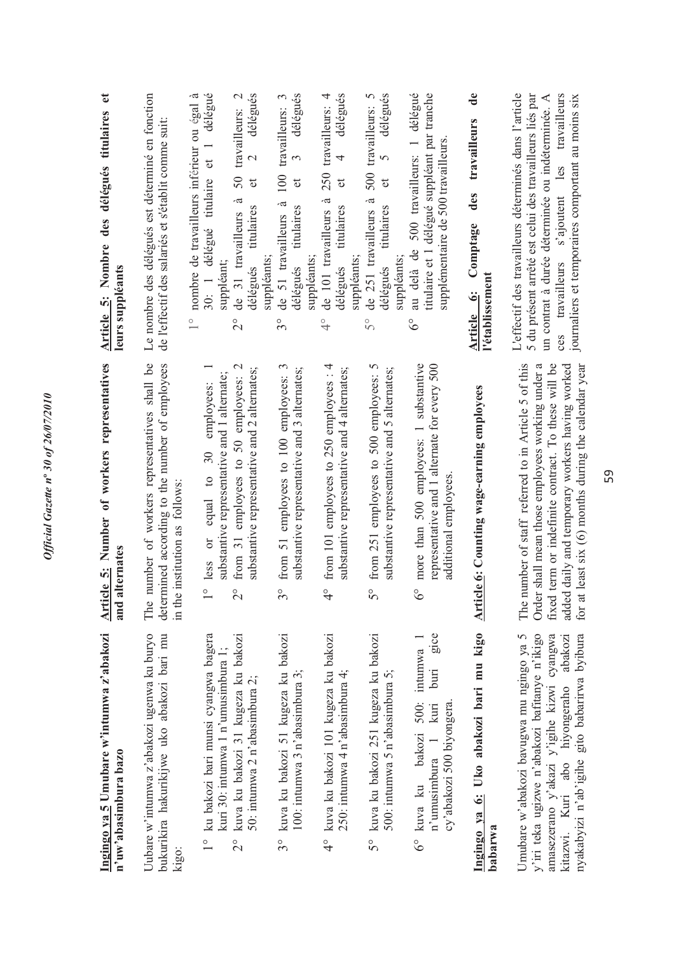| Ingingo ya 5 Umubare w'intumwa z'abakozi<br>n'uw'abasimbura bazo                                                                                                                                                                      | Article 5: Number of workers representatives<br>alternates<br>and a                                                                                                                                                                                                        | $\mathbf{e}$<br>Article 5: Nombre des délégués titulaires<br>leurs suppléants                                                                                                                                                                                                 |
|---------------------------------------------------------------------------------------------------------------------------------------------------------------------------------------------------------------------------------------|----------------------------------------------------------------------------------------------------------------------------------------------------------------------------------------------------------------------------------------------------------------------------|-------------------------------------------------------------------------------------------------------------------------------------------------------------------------------------------------------------------------------------------------------------------------------|
| Uubare w'intumwa z'abakozi ugenwa ku buryo<br>bukurikira hakurikijwe uko abakozi bari mu<br>kigo:                                                                                                                                     | number of workers representatives shall be<br>determined according to the number of employees<br>in the institution as follows:<br>The                                                                                                                                     | Le nombre des délégués est déterminé en fonction<br>de l'effectif des salariés et s'établit comme suit                                                                                                                                                                        |
| 1° ku bakozi bari munsi cyangwa bagera<br>kuva ku bakozi 31 kugeza ku bakozi<br>kuri 30: intumwa 1 n'umusimbura 1;<br>50: intumwa 2 n'abasimbura 2;<br>$\frac{1}{2}$                                                                  | $\mathbf{C}$<br>substantive representative and 2 alternates;<br>substantive representative and 1 alternate;<br>from 31 employees to 50 employees:<br>employees:<br>equal to 30<br>$\overline{0}$<br>less<br>O<br>$\sim$                                                    | délégué<br>délégués<br>nombre de travailleurs inférieur ou égal à<br>travailleurs: 2<br>et 1<br>50<br>30: 1 délégué titulaire<br>đ<br>à<br>titulaires<br>de 31 travailleurs<br>suppléants<br>suppléant;<br>délégués<br>$\frac{0}{1}$<br>$\overline{C}$                        |
| kuva ku bakozi 51 kugeza ku bakozi<br>100: intumwa 3 n'abasimbura 3;<br>$3^\circ$                                                                                                                                                     | from 51 employees to 100 employees: 3<br>substantive representative and 3 alternates;<br>$\omega$                                                                                                                                                                          | délégués<br>$\omega$<br>travailleurs:<br>3<br>100<br>đ<br>à<br>titulaires<br>de 51 travailleurs<br>suppléants:<br>délégués<br>$3^{\circ}$                                                                                                                                     |
| 4° kuva ku bakozi 101 kugeza ku bakozi<br>250: intumwa 4 n'abasimbura 4;                                                                                                                                                              | from 101 employees to 250 employees : 4<br>substantive representative and 4 alternates;<br>O                                                                                                                                                                               | délégués<br>travailleurs: 4<br>4<br>250<br>$\sigma$<br>.ದ<br>titulaires<br>de 101 travailleurs<br>suppléants<br>délégués<br>$\frac{1}{2}$                                                                                                                                     |
| kuva ku bakozi 251 kugeza ku bakozi<br>500: intumwa 5 n'abasimbura 5;<br>$\mathcal{S}^{\circ}$                                                                                                                                        | from 251 employees to 500 employees: 5<br>substantive representative and 5 alternates;<br>∽                                                                                                                                                                                | délégués<br>500 travailleurs: 5<br>$\overline{5}$<br>đ<br>à<br>titulaires<br>de 251 travailleurs<br>suppléants.<br>délégués<br>$\tilde{5}^{\circ}$                                                                                                                            |
| gice<br>kuva ku bakozi 500: intumwa 1<br>buri<br>cy'abakozi 500 biyongera<br>n'umusimbura 1 kuri<br>್ರೆ                                                                                                                               | more than 500 employees: 1 substantive<br>representative and 1 alternate for every 500<br>additional employees.                                                                                                                                                            | délégué<br>titulaire et 1 délégué suppléant par tranche<br>supplémentaire de 500 travailleurs<br>500 travailleurs: 1<br>au delà de<br>$\delta^{\circ}$                                                                                                                        |
| Ingingo ya 6: Uko abakozi bari mu kigo<br>babarwa                                                                                                                                                                                     | Article 6: Counting wage-earning employees                                                                                                                                                                                                                                 | $\mathbf{d}\mathbf{e}$<br>travailleurs<br>des<br>Comptage<br>l'établissement<br>Article 6:                                                                                                                                                                                    |
| y'iri teka ugizwe n'abakozi bafitanye n'ikigo<br>byibura<br>Umubare w'abakozi bavugwa mu ngingo ya 5<br>amasezerano y'akazi y'igihe kizwi cyangwa<br>abakozi<br>nyakabyizi n'ab'igihe gito babarirwa<br>kitazwi. Kuri abo hiyongeraho | The number of staff referred to in Article 5 of this<br>Order shall mean those employees working under a<br>fixed term or indefinite contract. To these will be<br>added daily and temporary workers having worked<br>for at least six (6) months during the calendar year | L'effectif des travailleurs déterminés dans l'article<br>5 du présent arrêté est celui des travailleurs liés par<br>travailleurs s'ajoutent les travailleurs<br>journaliers et temporaires comportant au moins six<br>un contrat à durée déterminée ou indéterminée. A<br>ces |

Official Gazette nº 30 of 26/07/2010 *Official Gazette n***º** *30 of 26/07/2010*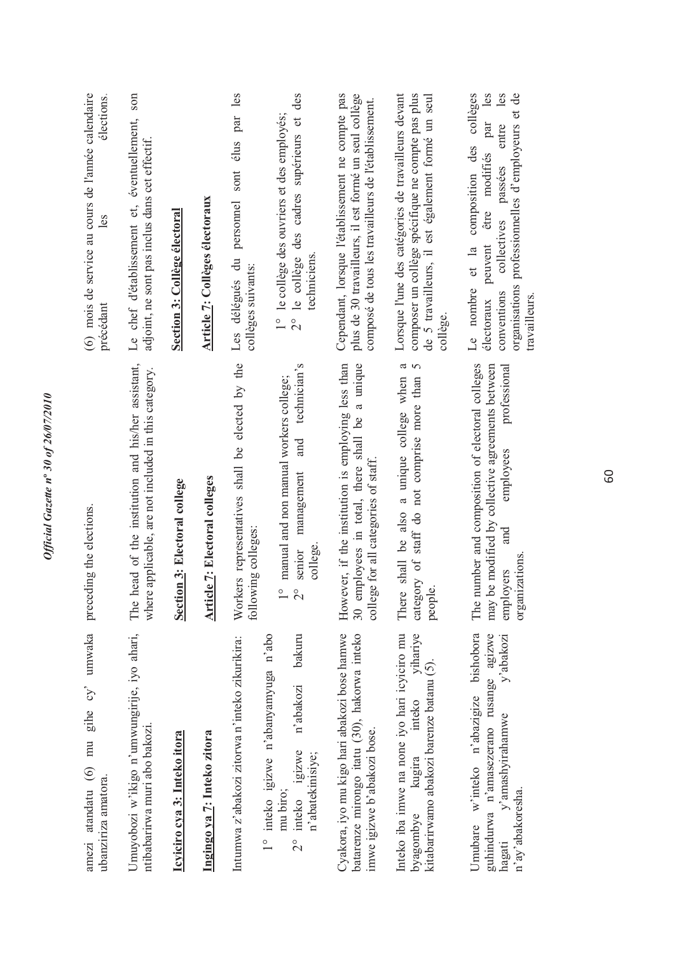| amezi atandatu (6) mu gihe cy' umwaka<br>ubanziriza amatora.                                                                                     | preceding the elections.                                                                                                                                               | (6) mois de service au cours de l'année calendaire<br>élections.<br>les<br>précédant                                                                                                                                                         |
|--------------------------------------------------------------------------------------------------------------------------------------------------|------------------------------------------------------------------------------------------------------------------------------------------------------------------------|----------------------------------------------------------------------------------------------------------------------------------------------------------------------------------------------------------------------------------------------|
| Umuyobozi w'ikigo n'umwungirije, iyo ahari,<br>ntibabarirwa muri abo bakozi.                                                                     | head of the institution and his/her assistant,<br>where applicable, are not included in this category.<br>The                                                          | Le chef d'établissement et, éventuellement, son<br>adjoint, ne sont pas inclus dans cet effectif.                                                                                                                                            |
| Icyiciro cya 3: Inteko itora                                                                                                                     | Section 3: Electoral college                                                                                                                                           | Section 3: Collège électoral                                                                                                                                                                                                                 |
| Ingingo ya 7: Inteko zitora                                                                                                                      | <b>Article 7: Electoral colleges</b>                                                                                                                                   | <b>Article 7: Collèges électoraux</b>                                                                                                                                                                                                        |
| Intumwa z'abakozi zitorwa n'inteko zikurikira:                                                                                                   | Workers representatives shall be elected by the<br>following colleges:                                                                                                 | Les délégués du personnel sont élus par les<br>collèges suivants:                                                                                                                                                                            |
| 1° inteko igizwe n'abanyamyuga n'abo<br>bakuru<br>n'abakozi<br>igizwe<br>n'abatekinisiye;<br>mu biro;<br>inteko<br>$\frac{1}{2}$                 | technician's<br>manual and non manual workers college;<br>and<br>management<br>college<br>senior<br>$\frac{0}{1}$<br>$\overline{C}$                                    | 2° le collège des cadres supérieurs et des<br>1° le collège des ouvriers et des employés;<br>techniciens                                                                                                                                     |
| Cyakora, iyo mu kigo hari abakozi bose hamwe<br>batarenze mirongo itatu (30), hakorwa inteko<br>imwe igizwe b'abakozi bose.                      | employees in total, there shall be a unique<br>However, if the institution is employing less than<br>college for all categories of staff<br>$\frac{30}{5}$             | Cependant, lorsque l'établissement ne compte pas<br>plus de 30 travailleurs, il est formé un seul collège<br>composé de tous les travailleurs de l'établissement.                                                                            |
| Inteko iba imwe na none iyo hari icyiciro mu<br>yihariye<br>kitabarirwamo abakozi barenze batanu (5).<br>inteko<br>kugira<br>byagombye           | ದ<br>$\sim$<br>There shall be also a unique college when<br>category of staff do not comprise more than<br>people.                                                     | composer un collège spécifique ne compte pas plus<br>Lorsque l'une des catégories de travailleurs devant<br>de 5 travailleurs, il est également formé un seul<br>collège.                                                                    |
| Umubare w'inteko n'abazigize bishobora<br>guhindurwa n'amasezerano rusange agizwe<br>y'abakozi<br>y'amashyirahamwe<br>n'ay'abakoresha.<br>hagati | The number and composition of electoral colleges<br>may be modified by collective agreements between<br>protessional<br>employees<br>and<br>organizations<br>employers | collèges<br>les<br>les<br>organisations professionnelles d'employeurs et de<br>par<br>entre<br>composition des<br>modifiés<br>passées<br>être<br>collectives<br>peuvent<br>$et$ la<br>Le nombre<br>conventions<br>travailleurs<br>électoraux |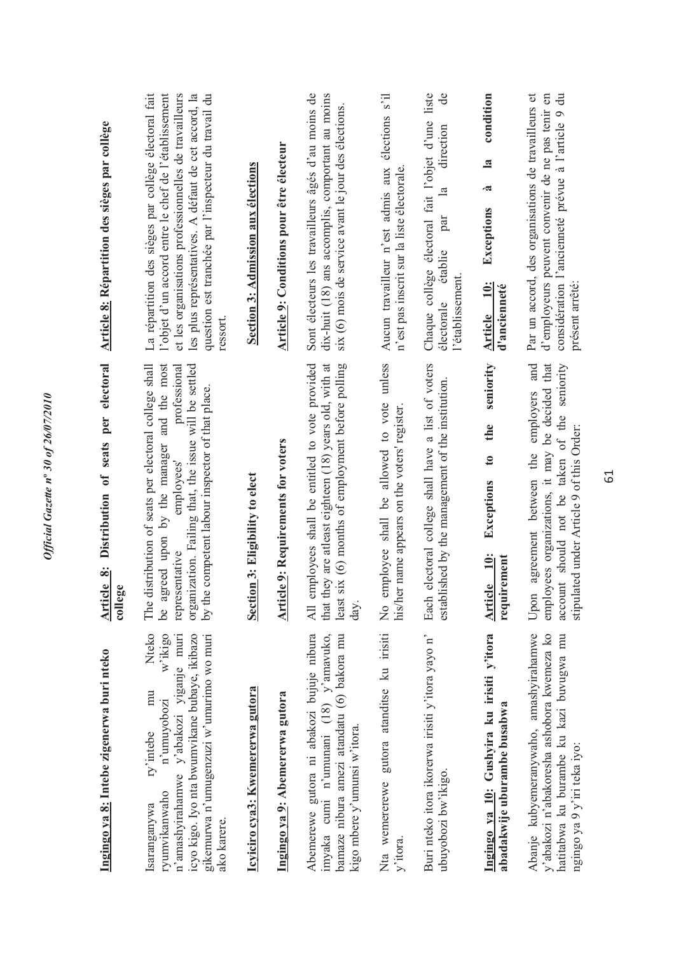| Ingingo ya 8: Intebe zigenerwa buri nteko                                                                                                                                                                                                 | Distribution of seats per electoral<br>Article 8:<br>college                                                                                                                                                                                                     | Article 8: Répartition des sièges par collège                                                                                                                                                                                                                                                     |
|-------------------------------------------------------------------------------------------------------------------------------------------------------------------------------------------------------------------------------------------|------------------------------------------------------------------------------------------------------------------------------------------------------------------------------------------------------------------------------------------------------------------|---------------------------------------------------------------------------------------------------------------------------------------------------------------------------------------------------------------------------------------------------------------------------------------------------|
| Nteko<br>icyo kigo. Iyo nta bwumvikane bubaye, ikibazo<br>gikemurwa n'umugenzuzi w'umurimo wo muri<br>w'ikigo<br>n'amashyirahamwe y'abakozi yiganje muri<br>mu<br>n'umuyobozi<br>ry'intebe<br>ryumvikanwaho<br>saranganywa<br>ako karere. | The distribution of seats per electoral college shall<br>be agreed upon by the manager and the most<br>organization. Failing that, the issue will be settled<br>professional<br>by the competent labour inspector of that place.<br>employees'<br>representative | La répartition des sièges par collège électoral fait<br>et les organisations professionnelles de travailleurs<br>les plus représentatives. A défaut de cet accord, la<br>question est tranchée par l'inspecteur du travail du<br>l'objet d'un accord entre le chef de l'établissement<br>ressort. |
| Icyiciro cya3: Kwemererwa gutora                                                                                                                                                                                                          | Section 3: Eligibility to elect                                                                                                                                                                                                                                  | <b>Section 3: Admission aux élections</b>                                                                                                                                                                                                                                                         |
| Ingingo ya 9: Abemererwa gutora                                                                                                                                                                                                           | cle 9: Requirements for voters<br><u>Arti</u>                                                                                                                                                                                                                    | <b>Article 9: Conditions pour être électeur</b>                                                                                                                                                                                                                                                   |
| Abemerewe gutora ni abakozi bujuje nibura<br>imyaka cumi n'umunani (18) y'amavuko,<br>bamaze nibura amezi atandatu (6) bakora mu<br>kigo mbere y'umunsi w'itora.                                                                          | employees shall be entitled to vote provided<br>that they are atleast eighteen (18) years old, with at<br>six (6) months of employment before polling<br>least<br>day.<br>All                                                                                    | Sont électeurs les travailleurs âgés d'au moins de<br>dix-huit (18) ans accomplis, comportant au moins<br>six (6) mois de service avant le jour des élections.                                                                                                                                    |
| Nta wemererewe gutora atanditse ku irisiti<br>y'itora.                                                                                                                                                                                    | employee shall be allowed to vote unless<br>his/her name appears on the voters' register<br>$\frac{1}{2}$                                                                                                                                                        | élections s'il<br>Aucun travailleur n'est admis aux<br>n'est pas inscrit sur la liste électorale.                                                                                                                                                                                                 |
| Buri nteko itora ikorerwa irisiti y'itora yayo n'<br>ubuyobozi bw'ikigo.                                                                                                                                                                  | Each electoral college shall have a list of voters<br>blished by the management of the institution.<br>estal                                                                                                                                                     | Chaque collège électoral fait l'objet d'une liste<br>$\rm{d}e$<br>direction<br>$\mathbb{E}$<br>par<br>établie<br>l'établissement.<br>électorale                                                                                                                                                   |
| Ingingo ya 10: Gushyira ku irisiti y'itora<br>abadakwije uburambe busabwa                                                                                                                                                                 | seniority<br>the<br>$\mathfrak{g}$<br>Exceptions<br>Article 10:<br>requirement                                                                                                                                                                                   | condition<br>$\mathbf{a}$<br>à<br>Exceptions<br>Article 10:<br>d'ancienneté                                                                                                                                                                                                                       |
| Abanje kubyemeranywaho, amashyirahamwe<br>y'abakozi n'abakoresha ashobora kwemeza ko<br>hatitabwa ku burambe ku kazi buvugwa mu<br>ngingo ya 9 y'iri teka iyo:                                                                            | employees organizations, it may be decided that<br>and<br>seniority<br>employers<br>account should not be taken of the<br>stipulated under Article 9 of this Order:<br>Upon agreement between the                                                                | Par un accord, des organisations de travailleurs et<br>d'employeurs peuvent convenir de ne pas tenir en<br>considération l'ancienneté prévue à l'article 9 du<br>présent arrêté                                                                                                                   |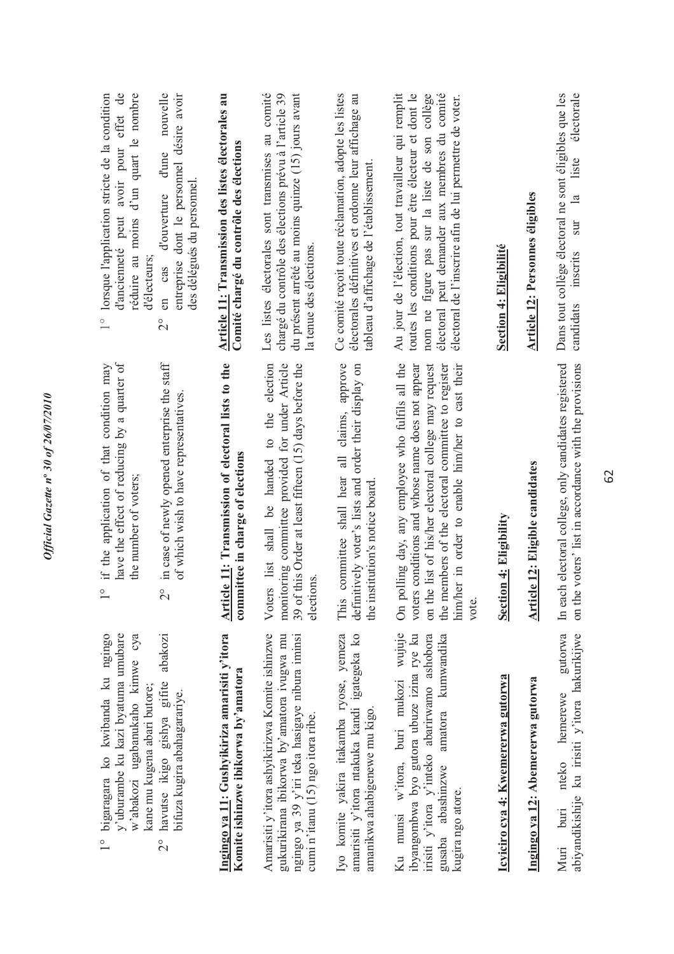| bigaragara ko kwibanda ku ngingo<br>y'uburambe ku kazi byatuma umubare<br>w'abakozi ugabanukaho kimwe cya<br>kane mu kugena abari butore;<br>$\frac{0}{1}$                                        | have the effect of reducing by a quarter of<br>if the application of that condition may<br>the number of voters;<br>$\circ$                                                                                                                                                     | avoir pour effet de<br>réduire au moins d'un quart le nombre<br>lorsque l'application stricte de la condition<br>d'ancienneté peut<br>d'électeurs<br>$\frac{1}{1}$                                                                                                      |
|---------------------------------------------------------------------------------------------------------------------------------------------------------------------------------------------------|---------------------------------------------------------------------------------------------------------------------------------------------------------------------------------------------------------------------------------------------------------------------------------|-------------------------------------------------------------------------------------------------------------------------------------------------------------------------------------------------------------------------------------------------------------------------|
| abakozi<br>havutse ikigo gishya gifite<br>bifuza kugira abahagarariye.<br>$\frac{1}{2}$                                                                                                           | in case of newly opened enterprise the staff<br>of which wish to have representatives.<br>$\overset{\circ}{\sim}$                                                                                                                                                               | nouvelle<br>entreprise dont le personnel désire avoir<br>d'une<br>des délégués du personnel<br>d'ouverture<br>cas<br>en<br>$\overline{C}$                                                                                                                               |
| Ingingo ya 11: Gushyikiriza amarisiti y'itora<br>Komite ishinzwe ibikorwa by'amatora                                                                                                              | Article 11: Transmission of electoral lists to the<br>committee in charge of elections                                                                                                                                                                                          | Article 11: Transmission des listes électorales au<br>Comité chargé du contrôle des élections                                                                                                                                                                           |
| Amarisiti y'itora ashyikirizwa Komite ishinzwe<br>ngingo ya 39 y'iri teka hasigaye nibura iminsi<br>gukurikirana ibikorwa by'amatora ivugwa mu<br>cumi n'itanu $(15)$ ngo itora ribe.             | monitoring committee provided for under Article<br>39 of this Order at least fifteen (15) days before the<br>to the election<br>Voters list shall be handed<br>elections                                                                                                        | du présent arrêté au moins quinze (15) jours avant<br>Les listes électorales sont transmises au comité<br>chargé du contrôle des élections prévu à l'article 39<br>la tenue des élections.                                                                              |
| amarisiti y'itora ntakuka kandi igategeka ko<br>Iyo komite yakira itakamba ryose, yemeza<br>amanikwa ahabigenewe mu kigo.                                                                         | approve<br>definitively voter's lists and order their display on<br>committee shall hear all claims,<br>the institution's notice board<br>This                                                                                                                                  | Ce comité reçoit toute réclamation, adopte les listes<br>électorales définitives et ordonne leur affichage au<br>tableau d'affichage de l'établissement.                                                                                                                |
| Ku munsi w'itora, buri mukozi wujuje<br>ibyangombwa byo gutora ubuze izina rye ku<br>irisiti y'itora y'inteko abarirwamo ashobora<br>amatora kumwandika<br>gusaba abashinzwe<br>kugira ngo atore. | On polling day, any employee who fulfils all the<br>voters conditions and whose name does not appear<br>the members of the electoral committee to register<br>on the list of his/her electoral college may request<br>him/her in order to enable him/her to cast their<br>vote. | électoral peut demander aux membres du comité<br>Au jour de l'élection, tout travailleur qui remplit<br>toutes les conditions pour être électeur et dont le<br>nom ne figure pas sur la liste de son collège<br>électoral de l'inscrire afin de lui permettre de voter. |
| Icyiciro cya 4: Kwemererwa gutorwa                                                                                                                                                                | <b>Section 4: Eligibility</b>                                                                                                                                                                                                                                                   | Section 4: Eligibilité                                                                                                                                                                                                                                                  |
| Ingingo ya 12: Abemererwa gutorwa                                                                                                                                                                 | Article 12: Eligible candidates                                                                                                                                                                                                                                                 | <b>Article 12: Personnes éligibles</b>                                                                                                                                                                                                                                  |
| gutorwa<br>abiyandikishije ku irisiti y'itora hakurikijwe<br>nteko hemerewe<br>$b$ uri<br>Muri                                                                                                    | on the voters' list in accordance with the provisions<br>In each electoral college, only candidates registered                                                                                                                                                                  | électorale<br>Dans tout collège électoral ne sont éligibles que les<br>liste<br>sur la<br>inscrits<br>candidats                                                                                                                                                         |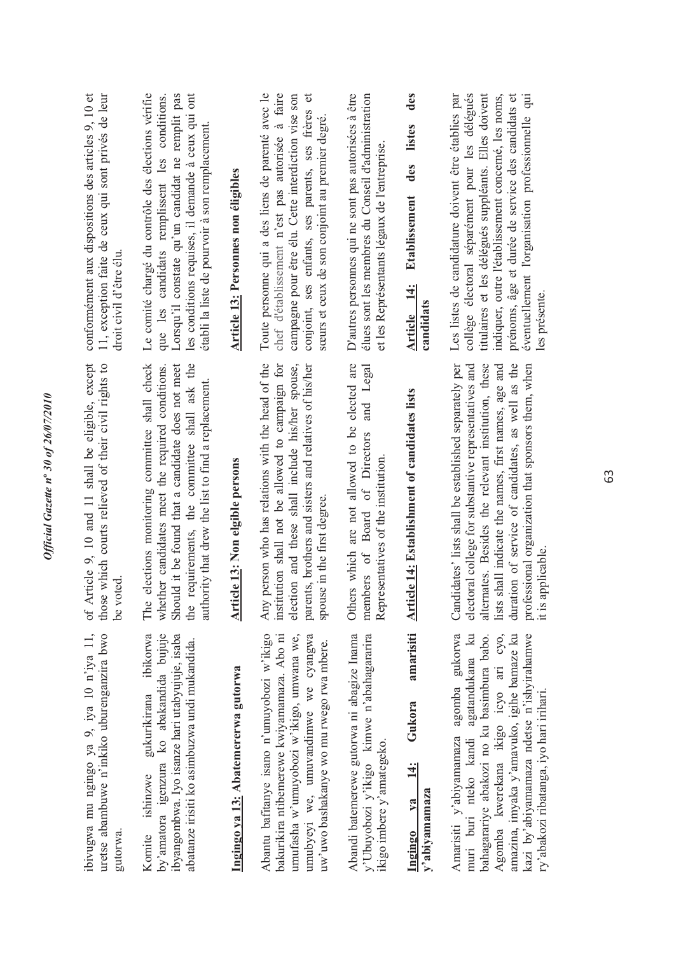| ibivugwa mu ngingo ya 9, iya 10 n'iya 11,<br>uretse abambuwe n'inkiko uburenganzira bwo<br>gutorwa                                                                                                                                                               | of Article 9, 10 and 11 shall be eligible, except<br>those which courts relieved of their civil rights to<br>be voted                                                                                                                                                                                                                       | conformément aux dispositions des articles 9, 10 et<br>11, exception faite de ceux qui sont privés de leur<br>droit civil d'être élu.                                                                                                                                                                                          |
|------------------------------------------------------------------------------------------------------------------------------------------------------------------------------------------------------------------------------------------------------------------|---------------------------------------------------------------------------------------------------------------------------------------------------------------------------------------------------------------------------------------------------------------------------------------------------------------------------------------------|--------------------------------------------------------------------------------------------------------------------------------------------------------------------------------------------------------------------------------------------------------------------------------------------------------------------------------|
| by'amatora igenzura ko abakandida bujuje<br>ibikorwa<br>ibyangombwa. Iyo isanze hari utabyujuje, isaba<br>abatanze irisiti ko asimbuzwa undi mukandida.<br>gukurikirana<br>Komite ishinzwe                                                                       | elections monitoring committee shall check<br>Should it be found that a candidate does not meet<br>requirements, the committee shall ask the<br>whether candidates meet the required conditions.<br>authority that drew the list to find a replacement.<br>The<br>the                                                                       | Le comité chargé du contrôle des élections vérifie<br>Lorsqu'il constate qu'un candidat ne remplit pas<br>les conditions requises, il demande à ceux qui ont<br>les candidats remplissent les conditions.<br>établi la liste de pourvoir à son remplacement.<br>que                                                            |
| Ingingo ya 13: Abatemererwa gutorwa                                                                                                                                                                                                                              | Article 13: Non elgible persons                                                                                                                                                                                                                                                                                                             | Article 13: Personnes non éligibles                                                                                                                                                                                                                                                                                            |
| Abantu bafitanye isano n'umuyobozi w'ikigo<br>bakurikira ntibemerewe kwiyamamaza. Abo ni<br>umubyeyi we, umuvandimwe we cyangwa<br>umufasha w'umuyobozi w'ikigo, umwana we,<br>uw'uwo bashakanye wo mu rwego rwa mbere.                                          | person who has relations with the head of the<br>institution shall not be allowed to campaign for<br>election and these shall include his/her spouse,<br>parents, brothers and sisters and relatives of his/her<br>spouse in the first degree.<br>Any                                                                                       | Toute personne qui a des liens de parenté avec le<br>chef d'établissement n'est pas autorisée à faire<br>campagne pour être élu. Cette interdiction vise son<br>đ<br>conjoint, ses enfants, ses parents, ses frères<br>sœurs et ceux de son conjoint au premier degré.                                                         |
| Abandi batemerewe gutorwa ni abagize Inama<br>y'Ubuyobozi y'ikigo kimwe n'abahagararira<br>ikigo imbere y'amategeko.                                                                                                                                             | Others which are not allowed to be elected are<br>Legal<br>and<br>members of Board of Directors<br>Representatives of the institution                                                                                                                                                                                                       | D'autres personnes qui ne sont pas autorisées à être<br>élues sont les membres du Conseil d'administration<br>et les Représentants légaux de l'entreprise.                                                                                                                                                                     |
| amarisiti<br>Gukora<br>$\ddot{14}$ :<br>y'abiyamamaza<br>va<br>Ingingo                                                                                                                                                                                           | <b>Article 14: Establishment of candidates lists</b>                                                                                                                                                                                                                                                                                        | des<br>listes<br>des<br><b>Etablissement</b><br><b>Article</b> 14:<br>candidats                                                                                                                                                                                                                                                |
| Amarisiti y'abiyamamaza agomba gukorwa<br>muri buri nteko kandi agatandukana ku<br>Agomba kwerekana ikigo icyo ari cyo,<br>kazi by'abiyamamaza ndetse n'ishyirahamwe<br>bahagarariye abakozi no ku basimbura babo.<br>amazina, imyaka y'amavuko, igihe bamaze ku | Candidates' lists shall be established separately per<br>shall indicate the names, first names, age and<br>duration of service of candidates, as well as the<br>alternates. Besides the relevant institution, these<br>electoral college for substantive representatives and<br>professional organization that sponsors them, when<br>lists | Les listes de candidature doivent être établies par<br>collège électoral séparément pour les délégués<br>indiquer, outre l'établissement concerné, les noms,<br>titulaires et les délégués suppléants. Elles doivent<br>prénoms, âge et durée de service des candidats et<br>éventuellement l'organisation professionnelle qui |

professional organization that sponsors them, when it is applicable.

les présente.

les présente.

it is applicable.

ry'abakozi ribatanga, iyo hari irihari.

ry'abakozi ribatanga, iyo hari irihari.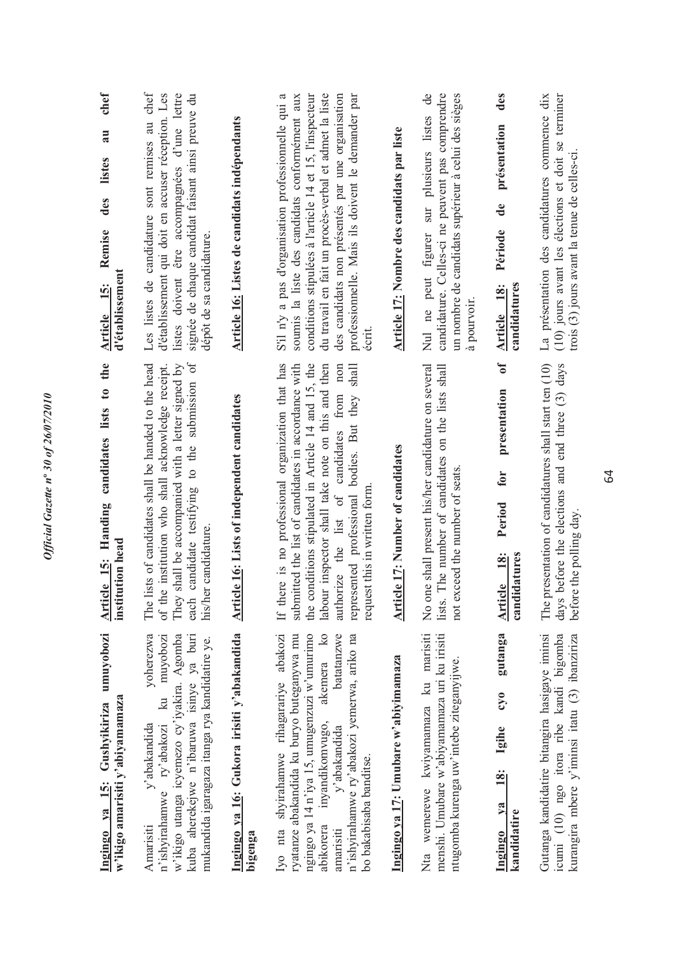| umuyobozi<br>w'ikigo amarisiti y'abiyamamaza<br>Ingingo ya 15: Gushyikiriza                                                                                                                                                                                                                              | the<br>candidates lists to<br>Article 15: Handing<br>institution head                                                                                                                                                                                                                                                                                       | chef<br>au<br>listes<br>des<br>Remise<br>d'établissement<br>$\frac{15}{1}$<br><b>Article</b>                                                                                                                                                                                                                                                 |
|----------------------------------------------------------------------------------------------------------------------------------------------------------------------------------------------------------------------------------------------------------------------------------------------------------|-------------------------------------------------------------------------------------------------------------------------------------------------------------------------------------------------------------------------------------------------------------------------------------------------------------------------------------------------------------|----------------------------------------------------------------------------------------------------------------------------------------------------------------------------------------------------------------------------------------------------------------------------------------------------------------------------------------------|
| yoherezwa<br>w'ikigo utanga icyemezo cy'iyakira. Agomba<br>muyobozi<br>kuba aherekejwe n'ibaruwa isinye ya buri<br>mukandida igaragaza itanga rya kandidatire ye.<br>$\overline{\mathbb{R}}$<br>y'abakandida<br>ry'abakozi<br>n'ishyirahamwe<br>Amarisiti                                                | candidate testifying to the submission of<br>lists of candidates shall be handed to the head<br>shall be accompanied with a letter signed by<br>of the institution who shall acknowledge receipt.<br>his/her candidature.<br>They<br>each<br>The 1                                                                                                          | Les listes de candidature sont remises au chef<br>signée de chaque candidat faisant ainsi preuve du<br>listes doivent être accompagnées d'une lettre<br>d'établissement qui doit en accuser réception. Les<br>dépôt de sa candidature.                                                                                                       |
| Ingingo ya 16: Gukora irisiti y'abakandida<br>bigenga                                                                                                                                                                                                                                                    | Article 16: Lists of independent candidates                                                                                                                                                                                                                                                                                                                 | Article 16: Listes de candidats indépendants                                                                                                                                                                                                                                                                                                 |
| Iyo nta shyirahamwe rihagarariye abakozi<br>akemera ko<br>n'ishyirahamwe ry'abakozi yemerwa, ariko na<br>ryatanze abakandida ku buryo buteganywa mu<br>ngingo ya 14 n'iya 15, umugenzuzi w'umurimo<br>batatanzwe<br>inyandikomvugo,<br>y'abakandida<br>bo bakabisaba banditse.<br>abikorera<br>amarisiti | If there is no professional organization that has<br>submitted the list of candidates in accordance with<br>the conditions stipulated in Article 14 and 15, the<br>labour inspector shall take note on this and then<br>non<br>represented professional bodies. But they shall<br>the list of candidates from<br>request this in written form.<br>authorize | conditions stipulées à l'article 14 et 15, l'inspecteur<br>du travail en fait un procès-verbal et admet la liste<br>professionnelle. Mais ils doivent le demander par<br>S'il n'y a pas d'organisation professionnelle qui a<br>soumis la liste des candidats conformément aux<br>des candidats non présentés par une organisation<br>écrit. |
| Ingingo ya 17: Umubare w'abiyimamaza                                                                                                                                                                                                                                                                     | Article 17: Number of candidates                                                                                                                                                                                                                                                                                                                            | Article 17: Nombre des candidats par liste                                                                                                                                                                                                                                                                                                   |
| Nta wemerewe kwiyamamaza ku marisiti<br>menshi. Umubare w'abiyamamaza uri ku irisiti<br>ntugomba kurenga uw'intebe ziteganyijwe.                                                                                                                                                                         | No one shall present his/her candidature on several<br>lists. The number of candidates on the lists shall<br>not exceed the number of seats.                                                                                                                                                                                                                | Nul ne peut figurer sur plusieurs listes de<br>candidature. Celles-ci ne peuvent pas comprendre<br>un nombre de candidats supérieur à celui des sièges<br>à pourvoir.                                                                                                                                                                        |
| gutanga<br>$0\tilde{\lambda}$<br>Igihe<br><u>18:</u><br>$ya$<br>kandidatire<br>Ingingo                                                                                                                                                                                                                   | $\mathbf{f}$<br>presentation<br>for<br>Period<br>candidatures<br>$\frac{18}{3}$<br>Article                                                                                                                                                                                                                                                                  | des<br>présentation<br>$\mathbf{d}\mathbf{e}$<br>Période<br>candidatures<br>Article 18:                                                                                                                                                                                                                                                      |
| Gutanga kandidatire bitangira hasigaye iminsi<br>(10) ngo itora ribe kandi bigomba<br>kurangira mbere y'iminsi itatu (3) ibanziriza<br>icumi                                                                                                                                                             | The presentation of candidatures shall start ten (10)<br>days before the elections and end three (3) days<br>before the polling day.                                                                                                                                                                                                                        | La présentation des candidatures commence dix<br>(10) jours avant les élections et doit se terminer<br>trois (3) jours avant la tenue de celles-ci.                                                                                                                                                                                          |
|                                                                                                                                                                                                                                                                                                          | 64                                                                                                                                                                                                                                                                                                                                                          |                                                                                                                                                                                                                                                                                                                                              |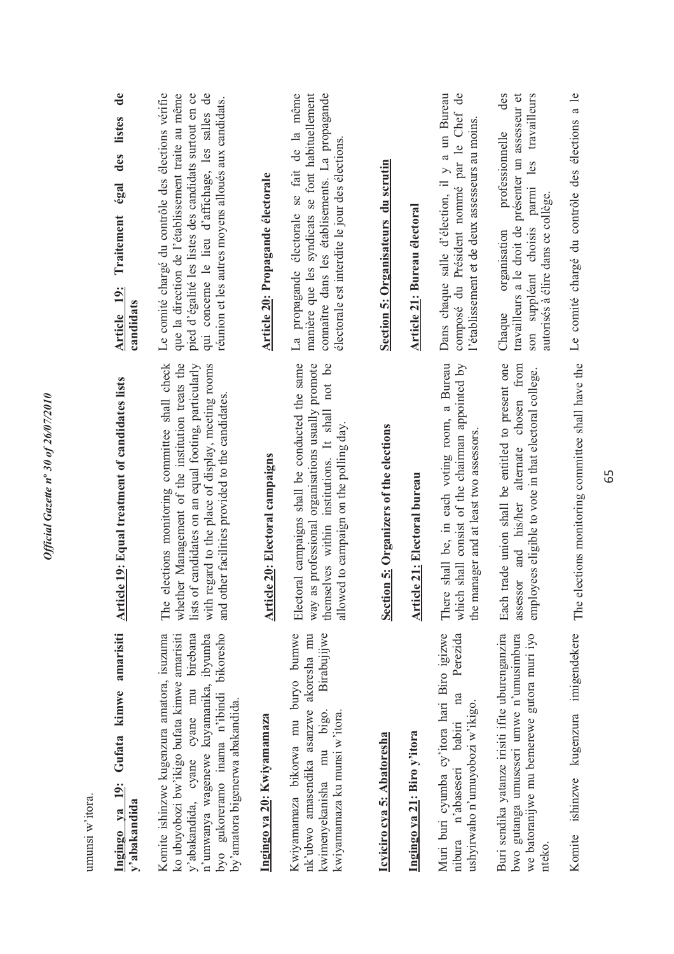| umuusi w iloia.                                                                                                                                                                                                                                                    |                                                                                                                                                                                                                                                                                           |                                                                                                                                                                                                                                                                             |
|--------------------------------------------------------------------------------------------------------------------------------------------------------------------------------------------------------------------------------------------------------------------|-------------------------------------------------------------------------------------------------------------------------------------------------------------------------------------------------------------------------------------------------------------------------------------------|-----------------------------------------------------------------------------------------------------------------------------------------------------------------------------------------------------------------------------------------------------------------------------|
| Ingingo ya 19: Gufata kimwe amarisiti<br>y'abakandida                                                                                                                                                                                                              | Article 19: Equal treatment of candidates lists                                                                                                                                                                                                                                           | $\mathbf{d}\mathbf{e}$<br>listes<br>des<br>égal<br>Traitement<br>Article 19:<br>candidats                                                                                                                                                                                   |
| Komite ishinzwe kugenzura amatora, isuzuma<br>bikoresho<br>ko ubuyobozi bw'ikigo bufata kimwe amarisiti<br>birebana<br>n'umwanya wagenewe kuyamanika, ibyumba<br>y'abakandida, cyane cyane mu<br>byo gukoreramo inama n'ibindi<br>by'amatora bigenerwa abakandida. | elections monitoring committee shall check<br>whether Management of the institution treats the<br>of candidates on an equal footing, particularly<br>regard to the place of display, meeting rooms<br>and other facilities provided to the candidates<br>$_{\text{lists}}$<br>with<br>The | Le comité chargé du contrôle des élections vérifie<br>que la direction de l'établissement traite au même<br>pied d'égalité les listes des candidats surtout en ce<br>qui concerne le lieu d'affichage, les salles de<br>réunion et les autres moyens alloués aux candidats. |
| Ingingo ya 20: Kwiyamamaza                                                                                                                                                                                                                                         | <b>Article 20: Electoral campaigns</b>                                                                                                                                                                                                                                                    | Article 20: Propagande électorale                                                                                                                                                                                                                                           |
| Kwiyamamaza bikorwa mu buryo bumwe<br>Birabujijwe<br>nk'ubwo amasendika asanzwe akoresha mu<br>kwimenyekanisha mu bigo.<br>kwiyamamaza ku munsi w'itora.                                                                                                           | Electoral campaigns shall be conducted the same<br>way as professional organisations usually promote<br>themselves within institutions. It shall not be<br>allowed to campaign on the polling day.                                                                                        | La propagande électorale se fait de la même<br>connaître dans les établisements. La propagande<br>manière que les syndicats se font habituellement<br>électorale est interdite le jour des élections.                                                                       |
| Icyiciro cya 5: Abatoresha                                                                                                                                                                                                                                         | Section 5: Organizers of the elections                                                                                                                                                                                                                                                    | Section 5: Organisateurs du scrutin                                                                                                                                                                                                                                         |
| Ingingo ya 21: Biro y'itora                                                                                                                                                                                                                                        | <b>Article 21: Electoral bureau</b>                                                                                                                                                                                                                                                       | <b>Article 21: Bureau électoral</b>                                                                                                                                                                                                                                         |
| Muri buri cyumba cy'itora hari Biro igizwe<br>Perezida<br>na<br>ushyirwaho n'umuyobozi w'ikigo.<br>nibura n'abaseseri babiri                                                                                                                                       | shall be, in each voting room, a Bureau<br>which shall consist of the chairman appointed by<br>anager and at least two assessors.<br>There<br>the m                                                                                                                                       | Dans chaque salle d'élection, il y a un Bureau<br>$\mathsf{d}\mathsf{e}$<br>composé du Président nommé par le Chef<br>l'établissement et de deux assesseurs au moins                                                                                                        |
| Buri sendika yatanze irisiti ifite uburenganzira<br>bwo gutanga umuseseri umwe n'umusimbura<br>we batoranijwe mu bemerewe gutora muri iyo<br>nteko.                                                                                                                | Each trade union shall be entitled to present one<br>assessor and his/her alternate chosen from<br>employees eligible to vote in that electoral college.                                                                                                                                  | des<br>travailleurs a le droit de présenter un assesseur et<br>travailleurs<br>professionnelle<br>parmi les<br>autorisés à élire dans ce collège.<br>son suppléant choisis<br>organisation<br>Chaque                                                                        |
| kugenzura imigendekere<br>ishinzwe<br>Komite                                                                                                                                                                                                                       | The elections monitoring committee shall have the                                                                                                                                                                                                                                         | Le comité chargé du contrôle des élections a le                                                                                                                                                                                                                             |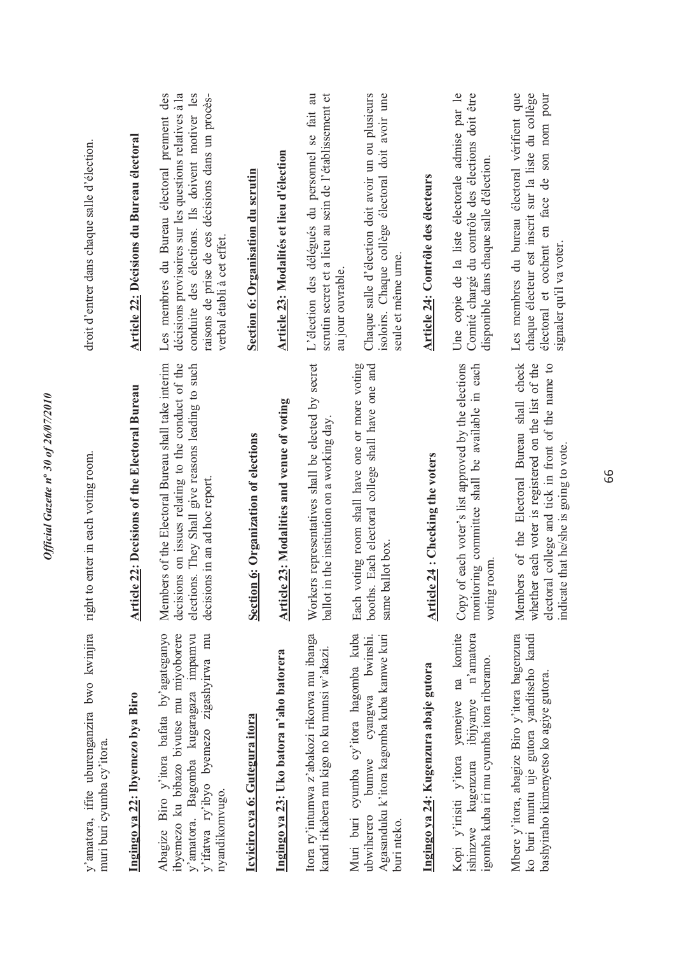| y'amatora, ifite uburenganzira bwo kwinjira<br>muri buri cyumba cy'itora.                                                                                                                   | to enter in each voting room.<br>right                                                                                                                                                            | droit d'entrer dans chaque salle d'élection.                                                                                                                                                                                                |
|---------------------------------------------------------------------------------------------------------------------------------------------------------------------------------------------|---------------------------------------------------------------------------------------------------------------------------------------------------------------------------------------------------|---------------------------------------------------------------------------------------------------------------------------------------------------------------------------------------------------------------------------------------------|
| Ingingo ya 22: Ibyemezo bya Biro                                                                                                                                                            | <b>Article 22: Decisions of the Electoral Bureau</b>                                                                                                                                              | <b>Article 22: Décisions du Bureau électoral</b>                                                                                                                                                                                            |
| Abagize Biro y'itora bafata by'agateganyo<br>y'ifatwa ry'ibyo byemezo zigashyirwa mu<br>ibyemezo ku bibazo bivutse mu miyoborere<br>y'amatora. Bagomba kugaragaza impamvu<br>nyandikomvugo. | decisions on issues relating to the conduct of the<br>Members of the Electoral Bureau shall take interim<br>elections. They Shall give reasons leading to such<br>decisions in an ad hoc report.  | Les membres du Bureau électoral prement des<br>raisons de prise de ces décisions dans un procès-<br>décisions provisoires sur les questions relatives à la<br>conduite des élections. Ils doivent motiver les<br>verbal établi à cet effet. |
| Icyiciro cya 6: Gutegura itora                                                                                                                                                              | Section 6: Organization of elections                                                                                                                                                              | Section 6: Organisation du scrutin                                                                                                                                                                                                          |
| Ingingo ya 23: Uko batora n'aho batorera                                                                                                                                                    | Article 23: Modalities and venue of voting                                                                                                                                                        | Article 23: Modalités et lieu d'élection                                                                                                                                                                                                    |
| Itora ry'intumwa z'abakozi rikorwa mu ibanga<br>kandi rikabera mu kigo no ku munsi w'akazi.                                                                                                 | Workers representatives shall be elected by secret<br>ballot in the institution on a working day                                                                                                  | L'élection des délégués du personnel se fait au<br>scrutin secret et a lieu au sein de l'établissement et<br>au jour ouvrable.                                                                                                              |
| Muri buri cyumba cy'itora hagomba kuba<br>bwinshi.<br>Agasanduku k'itora kagomba kuba kamwe kuri<br>cyangwa<br>bumwe<br>ubwiherero<br>buri nteko.                                           | voting room shall have one or more voting<br>booths. Each electoral college shall have one and<br>same ballot box.<br>Each                                                                        | Chaque salle d'élection doit avoir un ou plusieurs<br>isoloirs. Chaque collège électoral doit avoir une<br>seule et même urne.                                                                                                              |
| Ingingo ya 24: Kugenzura abaje gutora                                                                                                                                                       | Article 24 : Checking the voters                                                                                                                                                                  | Article 24: Contrôle des électeurs                                                                                                                                                                                                          |
| Kopi y'irisiti y'itora yemejwe na komite<br>n'amatora<br>gomba kuba iri mu cyumba itora riberamo.<br>ibijyanye<br>ishinzwe kugenzura                                                        | Copy of each voter's list approved by the elections<br>monitoring committee shall be available in each<br>g room<br>votin                                                                         | Une copie de la liste électorale admise par le<br>Comité chargé du contrôle des élections doit être<br>disponible dans chaque salle d'élection.                                                                                             |
| Mbere y'itora, abagize Biro y'itora bagenzura<br>ko buri muntu uje gutora yanditseho kandi<br>bashyiraho ikimenyetso ko agiye gutora.                                                       | whether each voter is registered on the list of the<br>Members of the Electoral Bureau shall check<br>electoral college and tick in front of the name to<br>indicate that he/she is going to vote | Les membres du bureau électoral vérifient que<br>chaque électeur est inscrit sur la liste du collège<br>électoral et cochent en face de son nom pour<br>signaler qu'il va voter.                                                            |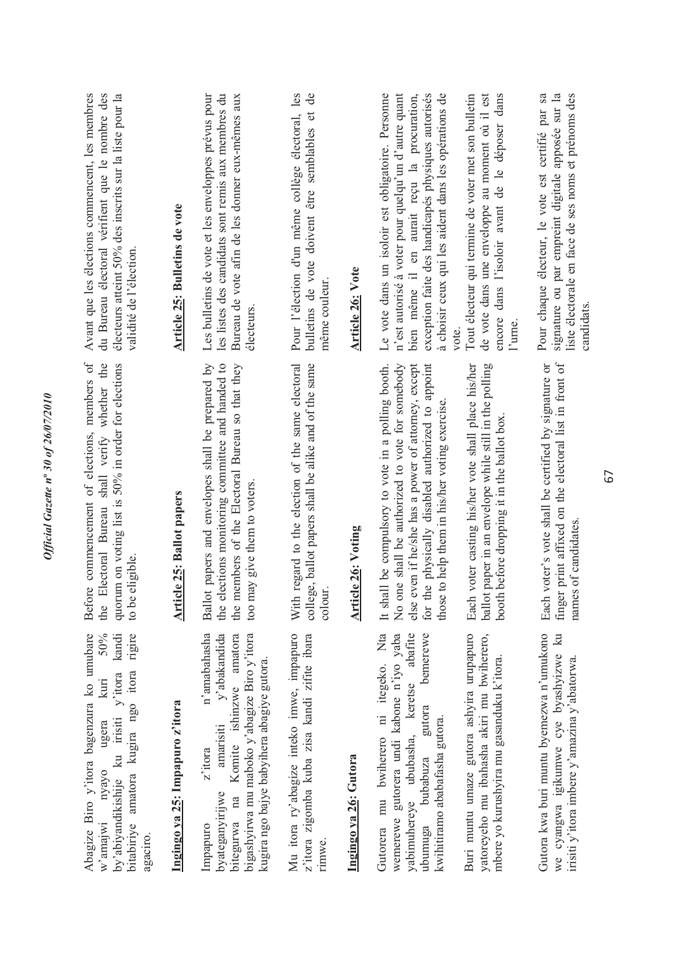| Abagize Biro y'itora bagenzura ko umubare                                                                                                                                                                                   | Before commencement of elections, members of                                                                                                                                                                                                                          | Avant que les élections commencent, les membres                                                                                                                                                                                                                                |
|-----------------------------------------------------------------------------------------------------------------------------------------------------------------------------------------------------------------------------|-----------------------------------------------------------------------------------------------------------------------------------------------------------------------------------------------------------------------------------------------------------------------|--------------------------------------------------------------------------------------------------------------------------------------------------------------------------------------------------------------------------------------------------------------------------------|
| 50%<br>kandi<br>rigire<br>bitabiriye amatora kugira ngo itora<br>by'abiyandikishije ku irisiti y'itora<br>kuri<br>ugera<br>w'amajwi nyayo                                                                                   | Electoral Bureau shall verify whether the<br>quorum on voting list is 50% in order for elections<br>eligible.<br>to be<br>the                                                                                                                                         | du Bureau électoral vérifient que le nombre des<br>électeurs atteint 50% des inscrits sur la liste pour la<br>validité de l'élection.                                                                                                                                          |
| Ingingo ya 25: Impapuro z'itora                                                                                                                                                                                             | <b>Article 25: Ballot papers</b>                                                                                                                                                                                                                                      | Article 25: Bulletins de vote                                                                                                                                                                                                                                                  |
| n'amabahasha<br>bigashyirwa mu maboko y'abagize Biro y'itora<br>$\mathbf{y}$ abakandida<br>Komite ishinzwe amatora<br>kugira ngo bajye babyihera abagiye gutora.<br>amarisiti<br>z'itora<br>byateganyirijwe<br>bitegurwa na | Ballot papers and envelopes shall be prepared by<br>the elections monitoring committee and handed to<br>the members of the Electoral Bureau so that they<br>too may give them to voters.                                                                              | les listes des candidats sont remis aux membres du<br>Les bulletins de vote et les enveloppes prévus pour<br>Bureau de vote afin de les donner eux-mêmes aux<br>électeurs                                                                                                      |
| Mu itora ry'abagize inteko imwe, impapuro<br>z'itora zigomba kuba zisa kandi zifite ibara                                                                                                                                   | regard to the election of the same electoral<br>college, ballot papers shall be alike and of the same<br>colour.<br>With                                                                                                                                              | Pour l'élection d'un même collège électoral, les<br>$\overline{d}$<br>bulletins de vote doivent être semblables et<br>même couleur.                                                                                                                                            |
| Ingingo ya 26: Gutora                                                                                                                                                                                                       | <b>Article 26: Voting</b>                                                                                                                                                                                                                                             | <b>Article 26: Vote</b>                                                                                                                                                                                                                                                        |
| bemerewe<br>Gutorera mu bwiherero ni itegeko. Nta<br>wemerewe gutorera undi kabone n'iyo yaba<br>yabimuhereye ububasha, keretse abafite<br>gutora<br>kwihitiramo ababafasha gutora.<br>bubabuza                             | No one shall be authorized to vote for somebody<br>for the physically disabled authorized to appoint<br>even if he/she has a power of attomey, except<br>It shall be compulsory to vote in a polling booth.<br>those to help them in his/her voting exercise.<br>else | Le vote dans un isoloir est obligatoire. Personne<br>exception faite des handicapés physiques autorisés<br>à choisir ceux qui les aident dans les opérations de<br>n'est autorisé à voter pour quelqu'un d'autre quant<br>bien même il en aurait reçu la procuration,<br>vote. |
| Buri muntu umaze gutora ashyira urupapuro<br>yatoreyeho mu ibahasha akiri mu bwiherero,<br>mbere yo kurushyira mu gasanduku k'itora.                                                                                        | ballot paper in an envelope while still in the polling<br>voter casting his/her vote shall place his/her<br>booth before dropping it in the ballot box<br>Each                                                                                                        | Tout électeur qui termine de voter met son bulletin<br>de vote dans une enveloppe au moment où il est<br>dans l'isoloir avant de le déposer dans<br>encore<br>l'urne.                                                                                                          |
| Gutora kwa buri muntu byemezwa n'umukono<br>we cyangwa igikumwe cye byashyizwe ku<br>irisiti y'itora imbere y'amazina y'abatorwa.                                                                                           | finger print affixed on the electoral list in front of<br>voter's vote shall be certified by signature or<br>s of candidates.<br>Each<br>name                                                                                                                         | signature ou par empreint digitale apposée sur la<br>Pour chaque électeur, le vote est certifié par sa<br>liste électorale en face de ses noms et prénoms des<br>candidats.                                                                                                    |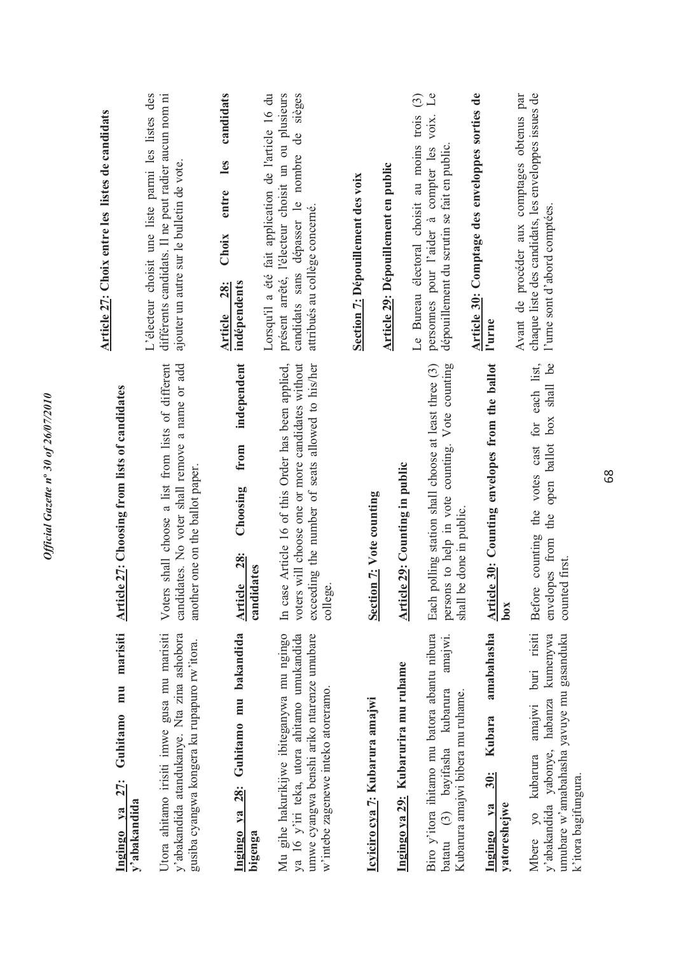| marisiti<br>mu<br>Guhitamo<br>27:<br>Ingingo ya                                                                                                                              | <b>Article 27: Choosing from lists of candidates</b>                                                                                                                    | Article 27: Choix entre les listes de candidats                                                                                                                                               |
|------------------------------------------------------------------------------------------------------------------------------------------------------------------------------|-------------------------------------------------------------------------------------------------------------------------------------------------------------------------|-----------------------------------------------------------------------------------------------------------------------------------------------------------------------------------------------|
| Utora ahitamo irisiti imwe gusa mu marisiti<br>y'abakandida atandukanye. Nta zina ashobora<br>gusiba cyangwa kongera ku rupapuro rw'itora.<br>y'abakandida                   | is shall choose a list from lists of different<br>candidates. No voter shall remove a name or add<br>another one on the ballot paper.<br>Voter                          | L'électeur choisit une liste parmi les listes des<br>différents candidats. Il ne peut radier aucun nom ni<br>ajouter un autre sur le bulletin de vote.                                        |
| 28: Guhitamo mu bakandida<br>Ingingo ya<br>bigenga                                                                                                                           | independent<br>from<br>Choosing<br><b>28:</b><br>candidates<br>Article                                                                                                  | candidats<br>les<br>entre<br>Choix<br>indépendents<br><b>28:</b><br><b>Article</b>                                                                                                            |
| Mu gihe hakurikijwe ibiteganywa mu ngingo<br>ya 16 y'iri teka, utora ahitamo umukandida<br>umwe cyangwa benshi ariko ntarenze umubare<br>w'intebe zagenewe inteko atoreramo. | In case Article 16 of this Order has been applied,<br>voters will choose one or more candidates without<br>exceeding the number of seats allowed to his/her<br>college. | Lorsqu'il a été fait application de l'article 16 du<br>sièges<br>présent arrêté, l'électeur choisit un ou plusieurs<br>candidats sans dépasser le nombre de<br>attribués au collège concerné. |
| Icyiciro cya 7: Kubarura amajwi                                                                                                                                              | <b>Section 7: Vote counting</b>                                                                                                                                         | Section 7: Dépouillement des voix                                                                                                                                                             |
| Ingingo ya 29: Kubarurira mu ruhame                                                                                                                                          | <b>Article 29: Counting in public</b>                                                                                                                                   | Article 29: Dépouillement en public                                                                                                                                                           |
| Biro y'itora ihitamo mu batora abantu nibura<br>amajwi.<br>batatu (3) bayifasha kubarura<br>Kubarura amajwi bibera mu ruhame.                                                | persons to help in vote counting. Vote counting<br>Each polling station shall choose at least three (3)<br>be done in public.<br>shall l                                | $\mathcal{L}$ e<br>$\widehat{c}$<br>Le Bureau électoral choisit au moins trois<br>VOIX.<br>personnes pour l'aider à compter les<br>dépouillement du scrutin se fait en public.                |
| amabahasha<br><b>Kubara</b><br>30:<br>yatoreshejwe<br>va<br><u>Ingingo</u>                                                                                                   | Article 30: Counting envelopes from the ballot<br>box                                                                                                                   | Article 30: Comptage des enveloppes sorties de<br>l'urne                                                                                                                                      |
| buri risiti<br>kumenywa<br>umubare w'amabahasha yavuye mu gasanduku<br>habanza<br>amajwi<br>v'abakandida yabonye,<br>Mbere yo kubarura<br>k'itora bagifungura.               | shall be<br>counting the votes cast for each list,<br>box<br>open ballot<br>the<br>envelopes from<br>counted first.<br><b>Before</b>                                    | Avant de procéder aux comptages obtenus par<br>chaque liste des candidats, les enveloppes issues de<br>l'urne sont d'abord comptées.                                                          |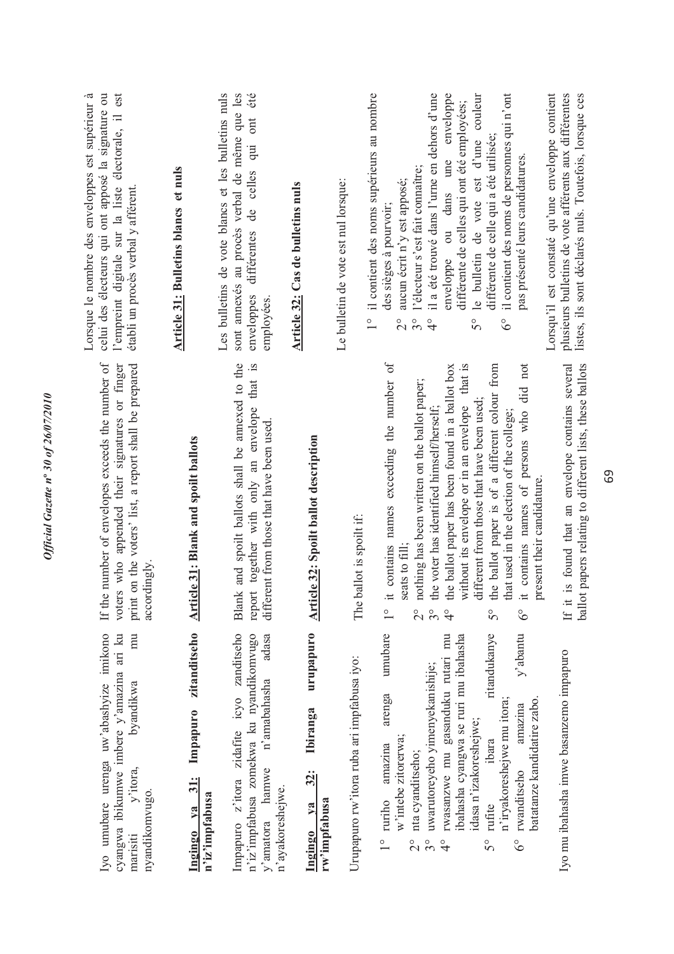| zitanditseho<br>Iyo umubare urenga uw'abashyize imikono<br>cyangwa ibikumwe imbere y'amazina ari ku<br>mu<br>byandikwa<br>Impapuro<br>y'itora,<br>31:<br>nyandikomvugo.<br>$1$                                                                                                                                                               | e number of envelopes exceeds the number of<br>voters who appended their signatures or finger<br>print on the voters' list, a report shall be prepared<br>icle 31: Blank and spoilt ballots<br>accordingly<br>If th<br>Arti                                                                                                                                                                                                                                                                                                                                                                  | Lorsque le nombre des enveloppes est supérieur à<br>celui des électeurs qui ont apposé la signature ou<br>l'empreint digitale sur la liste électorale, il est<br>Article 31: Bulletins blancs et nuls<br>établi un procès verbal y afférent.                                                                                                                                                                                                                                                                                               |
|----------------------------------------------------------------------------------------------------------------------------------------------------------------------------------------------------------------------------------------------------------------------------------------------------------------------------------------------|----------------------------------------------------------------------------------------------------------------------------------------------------------------------------------------------------------------------------------------------------------------------------------------------------------------------------------------------------------------------------------------------------------------------------------------------------------------------------------------------------------------------------------------------------------------------------------------------|--------------------------------------------------------------------------------------------------------------------------------------------------------------------------------------------------------------------------------------------------------------------------------------------------------------------------------------------------------------------------------------------------------------------------------------------------------------------------------------------------------------------------------------------|
| Impapuro z'itora zidafite icyo zanditseho<br>n'iz'impfabusa zomekwa ku nyandikomvugo<br>adasa<br>n'amabahasha<br>y'amatora hamwe                                                                                                                                                                                                             | Blank and spoilt ballots shall be annexed to the<br>report together with only an envelope that is<br>different from those that have been used.                                                                                                                                                                                                                                                                                                                                                                                                                                               | Les bulletins de vote blancs et les bulletins nuls<br>sont annexés au procès verbal de même que les<br>enveloppes différentes de celles qui ont été<br>employées.                                                                                                                                                                                                                                                                                                                                                                          |
| urupapuro<br><b>Ibiranga</b><br>$32$ :<br>n'ayakoreshejwe.                                                                                                                                                                                                                                                                                   | <b>Article 32: Spoilt ballot description</b>                                                                                                                                                                                                                                                                                                                                                                                                                                                                                                                                                 | Article 32: Cas de bulletins nuls                                                                                                                                                                                                                                                                                                                                                                                                                                                                                                          |
| Urupapuro rw'itora ruba ari impfabusa iyo:                                                                                                                                                                                                                                                                                                   | The ballot is spoilt if:                                                                                                                                                                                                                                                                                                                                                                                                                                                                                                                                                                     | il contient des noms supérieurs au nombre<br>Le bulletin de vote est nul lorsque:<br>$\frac{1}{1}$                                                                                                                                                                                                                                                                                                                                                                                                                                         |
| ritandukanye<br>y'abantu<br>umubare<br>ibahasha cyangwa se ruri mu ibahasha<br>rwasanzwe mu gasanduku rutari mu<br>uwarutoreyeho yimenyekanishije;<br>arenga<br>batatanze kandidatire zabo.<br>n'iryakoreshejwe mu itora;<br>amazina<br>idasa n'izakoreshejwe;<br>w'intebe zitorerwa;<br>ibara<br>amazina<br>nta cyanditseho;<br>rwanditseho | it contains names exceeding the number of<br>the ballot paper is of a different colour from<br>without its envelope or in an envelope that is<br>it contains names of persons who did not<br>the ballot paper has been found in a ballot box<br>nothing has been written on the ballot paper;<br>different from those that have been used;<br>the voter has identified himself/herself;<br>that used in the election of the college;<br>present their candidature.<br>seats to fill:<br>$3^{\circ}$<br>$\frac{0}{1}$<br>$\overset{\circ}{\sim}$<br>$\frac{1}{4}$<br>$\tilde{S}^{\circ}$<br>ိ | le bulletin de vote est d'une couleur<br>il a été trouvé dans l'urne en dehors d'une<br>il contient des noms de personnes qui n'ont<br>Lorsqu'il est constaté qu'une enveloppe contient<br>enveloppe ou dans une enveloppe<br>différente de celles qui ont été employées;<br>différente de celle qui a été utilisée;<br>pas présenté leurs candidatures.<br>l'électeur s'est fait connaître;<br>aucun écrit n'y est apposé;<br>des sièges à pourvoir;<br>$3^{\circ}$<br>$\delta^{\circ}$<br>50<br>$\frac{1}{4}$<br>$\overset{\circ}{\sim}$ |
| Iyo mu ibahasha imwe basanzemo impapuro                                                                                                                                                                                                                                                                                                      | If it is found that an envelope contains several<br>ballot papers relating to different lists, these ballots                                                                                                                                                                                                                                                                                                                                                                                                                                                                                 | plusieurs bulletins de vote afférents aux différentes<br>listes, ils sont déclarés nuls. Toutefois, lorsque ces                                                                                                                                                                                                                                                                                                                                                                                                                            |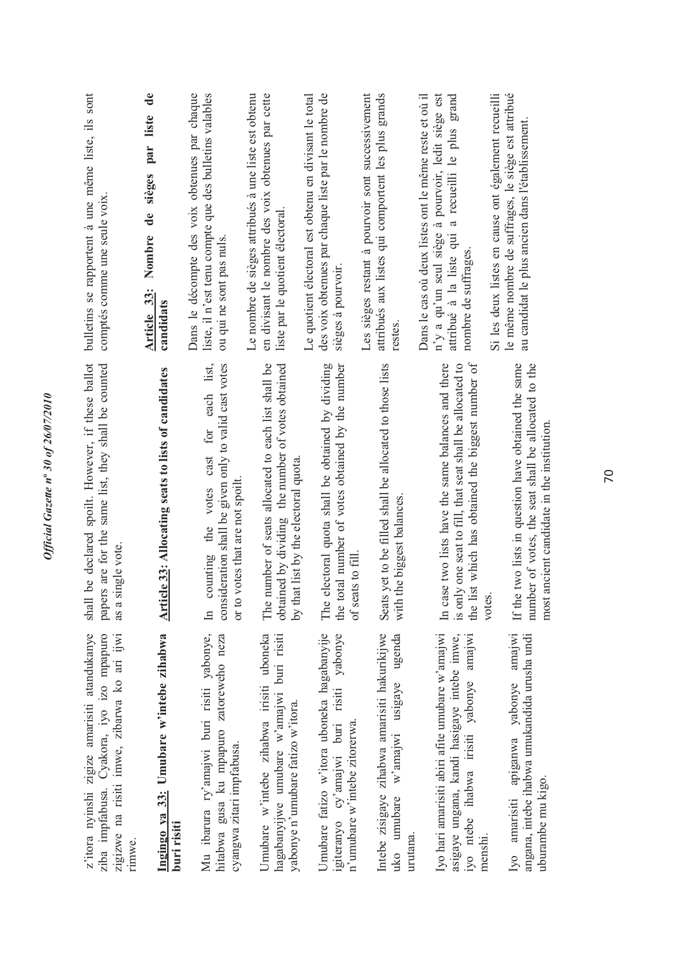| z'itora nyinshi zigize amarisiti atandukanye<br>ziba impfabusa. Cyakora, iyo izo mpapuro<br>zigizwe na risiti imwe, zibarwa ko ari ijwi<br>rinnwe.   | be declared spoilt. However, if these ballot<br>papers are for the same list, they shall be counted<br>single vote.<br>shall<br>as a                                          | bulletins se rapportent à une même liste, ils sont<br>comptés comme une seule voix                                                                                                         |
|------------------------------------------------------------------------------------------------------------------------------------------------------|-------------------------------------------------------------------------------------------------------------------------------------------------------------------------------|--------------------------------------------------------------------------------------------------------------------------------------------------------------------------------------------|
| Ingingo ya 33: Umubare w'intebe zihabwa<br>buri risiti                                                                                               | <b>Article 33: Allocating seats to lists of candidates</b>                                                                                                                    | $\mathbf{d}\mathbf{e}$<br>liste<br>par<br>sièges<br>de<br>Nombre<br>Article 33:<br>candidats                                                                                               |
| Mu ibarura ry'amajwi buri risiti yabonye,<br>hitabwa gusa ku mpapuro zatoreweho neza<br>cyangwa zitari impfabusa.                                    | consideration shall be given only to valid cast votes<br>list,<br>each<br>for<br>cast<br>votes that are not spoilt.<br>votes<br>the<br>counting<br>or to<br>$\mathbb{H}$      | Dans le décompte des voix obtenues par chaque<br>liste, il n'est tenu compte que des bulletins valables<br>ou qui ne sont pas nuls.                                                        |
| Umubare w'intebe zihabwa irisiti uboneka<br>hagabanyijwe umubare w'amajwi buri risiti<br>yabonye n'umubare fatizo w'itora.                           | The number of seats allocated to each list shall be<br>obtained by dividing the number of votes obtained<br>by that list by the electoral quota                               | en divisant le nombre des voix obtenues par cette<br>Le nombre de sièges attribués à une liste est obtenu<br>liste par le quotient électoral                                               |
| Umubare fatizo w'itora uboneka hagabanyije<br>igiteranyo cy'amajwi buri risiti yabonye<br>n'umubare w'intebe zitorerwa.                              | electoral quota shall be obtained by dividing<br>the total number of votes obtained by the number<br>of seats to fill<br>The                                                  | des voix obtenues par chaque liste par le nombre de<br>Le quotient électoral est obtenu en divisant le total<br>sièges à pourvoir                                                          |
| Intebe zisigaye zihabwa amarisiti hakurikijwe<br>ugenda<br>w'amajwi usigaye<br>umubare<br>urutana.<br>uko                                            | Seats yet to be filled shall be allocated to those lists<br>the biggest balances<br>with                                                                                      | attribués aux listes qui comportent les plus grands<br>Les sièges restant à pourvoir sont successivement<br>restes.                                                                        |
| Iyo hari amarisiti abiri afite umubare w'amajwi<br>asigaye ungana, kandi hasigaye intebe imwe,<br>iyo ntebe ihabwa irisiti yabonye amajwi<br>menshi. | the list which has obtained the biggest number of<br>In case two lists have the same balances and there<br>is only one seat to fill, that seat shall be allocated to<br>votes | n'y a qu'un seul siège à pourvoir, ledit siège est<br>a recueilli le plus grand<br>Dans le cas où deux listes ont le même reste et où il<br>attribué à la liste qui<br>nombre de suffrages |
| Iyo amarisiti apiganwa yabonye amajwi<br>angana, intebe ihabwa umukandida urusha undi<br>uburambe mu kigo.                                           | If the two lists in question have obtained the same<br>number of votes, the seat shall be allocated to the<br>most ancient candidate in the institution.                      | le même nombre de suffrages, le siège est attribué<br>Si les deux listes en cause ont également recueilli<br>au candidat le plus ancien dans l'établissement.                              |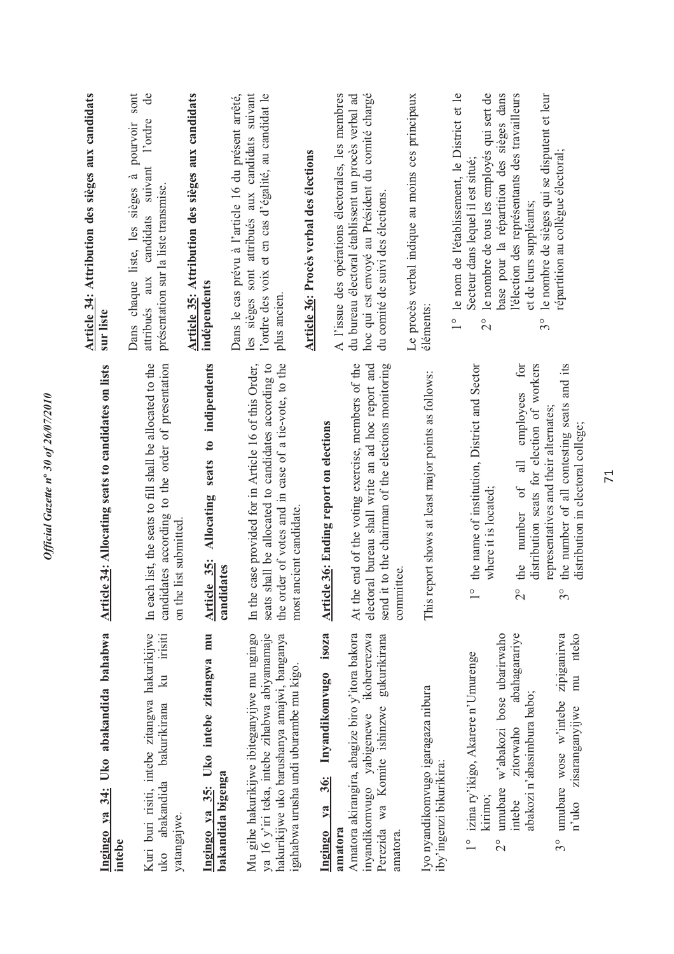| Ingingo ya 34: Uko abakandida bahabwa<br>intebe                                                                                                                                      | Article 34: Allocating seats to candidates on lists                                                                                                                                                                              | Article 34: Attribution des sièges aux candidats<br>sur liste                                                                                                                                                           |
|--------------------------------------------------------------------------------------------------------------------------------------------------------------------------------------|----------------------------------------------------------------------------------------------------------------------------------------------------------------------------------------------------------------------------------|-------------------------------------------------------------------------------------------------------------------------------------------------------------------------------------------------------------------------|
| Kuri buri risiti, intebe zitangwa hakurikijwe<br>ku irisiti<br>uko abakandida bakurikirana<br>yatangajwe.                                                                            | In each list, the seats to fill shall be allocated to the<br>candidates according to the order of presentation<br>on the list submitted.                                                                                         | sont<br>de<br>l'ordre<br>pourvoir<br>attribués aux candidats suivant<br>Dans chaque liste, les sièges à<br>présentation sur la liste transmise.                                                                         |
| Ingingo ya 35: Uko intebe zitangwa mu<br>bakandida bigenga                                                                                                                           | Allocating seats to indipendents<br>Article 35:<br>candidates                                                                                                                                                                    | Article 35: Attribution des sièges aux candidats<br>indépendents                                                                                                                                                        |
| Mu gihe hakurikijwe ibiteganyijwe mu ngingo<br>ya 16 y'iri teka, intebe zihabwa abiyamamaje<br>hakurikijwe uko barushanya amajwi, banganya<br>igahabwa urusha undi uburambe mu kigo. | the order of votes and in case of a tie-vote, to the<br>case provided for in Article 16 of this Order,<br>shall be allocated to candidates according to<br>most ancient candidate.<br>In the<br>seats                            | les sièges sont attribués aux candidats suivant<br>Dans le cas prévu à l'article 16 du présent arrêté,<br>l'ordre des voix et en cas d'égalité, au candidat le<br>plus ancien                                           |
| isoza<br>Inyandikomvugo<br>$\frac{36}{3}$<br>ya<br>Ingingo                                                                                                                           |                                                                                                                                                                                                                                  | Article 36: Procès verbal des élections                                                                                                                                                                                 |
| Amatora akirangira, abagize biro y'itora bakora<br>inyandikomvugo yabigenewe ikohererezwa<br>gukurikirana<br>Perezida wa Komite ishinzwe<br>amatora<br>amatora.                      | At the end of the voting exercise, members of the<br>electoral bureau shall write an ad hoc report and<br>send it to the chairman of the elections monitoring<br><b>Article 36: Ending report on elections</b><br>committee      | hoc qui est envoyé au Président du comité chargé<br>A l'issue des opérations électorales, les membres<br>du bureau électoral établissent un procès verbal ad<br>du comité de suivi des élections.                       |
| Iyo nyandikomvugo igaragaza nibura<br>iby'ingenzi bikurikira:                                                                                                                        | This report shows at least major points as follows:                                                                                                                                                                              | Le procès verbal indique au moins ces principaux<br>éléments                                                                                                                                                            |
| umubare w'abakozi bose ubarirwaho<br>1° izina ry'ikigo, Akarere n'Umurenge<br>kirimo;<br>$\frac{1}{2}$                                                                               | the name of institution, District and Sector<br>where it is located;                                                                                                                                                             | le nombre de tous les employés qui sert de<br>le nom de l'établissement, le District et le<br>base pour la répartition des sièges dans<br>Secteur dans lequel il est situé;<br>$\frac{1}{1}$<br>$\overset{\circ}{\sim}$ |
| abahagarariye<br>zipiganirwa<br>nteko<br>mu<br>abakozi n'abasimbura babo;<br>umubare wose w'intebe<br>zisaranganyijwe<br>zitorwaho<br>intebe<br>n'uko<br>$3^{\circ}$                 | the number of all contesting seats and its<br>for<br>distribution seats for election of workers<br>employees<br>representatives and their alternates;<br>$\equiv$<br>number of<br>the<br>$\overline{C}$<br>$\tilde{\mathcal{E}}$ | l'élection des représentants des travailleurs<br>le nombre de sièges qui se disputent et leur<br>répartition au collègue électoral;<br>et de leurs suppléants;<br>$3^{\circ}$                                           |
|                                                                                                                                                                                      | distribution in electoral college;                                                                                                                                                                                               |                                                                                                                                                                                                                         |

*Official Gazette n***º** *30 of 26/07/2010* 

Official Gazette nº 30 of 26/07/2010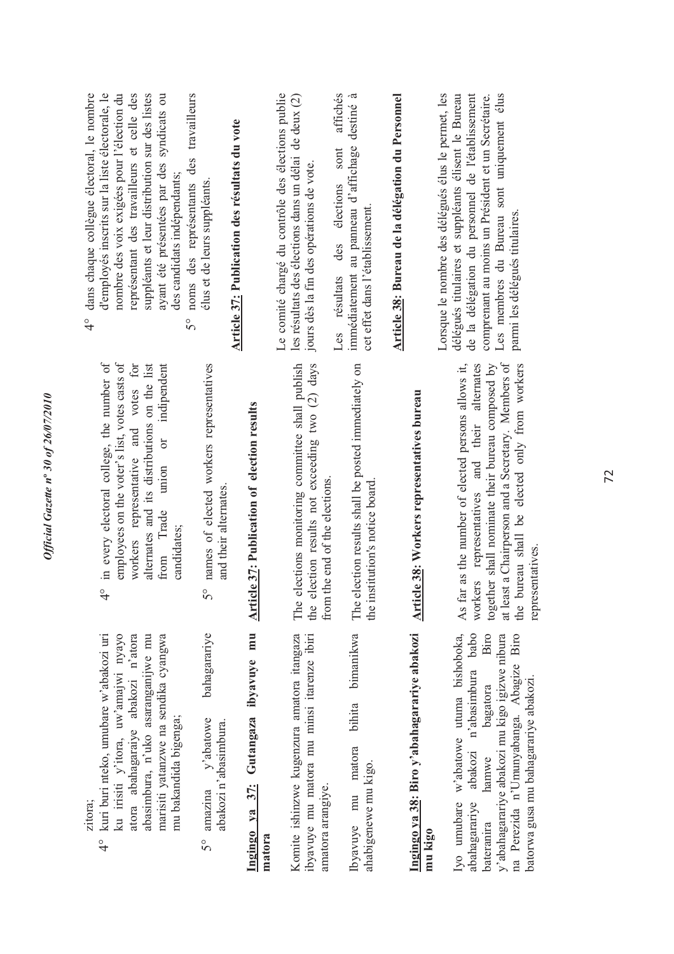| 0f26/07/2010                  |
|-------------------------------|
|                               |
|                               |
|                               |
|                               |
|                               |
|                               |
| ╮                             |
|                               |
|                               |
| $\overline{\mathcal{S}}$      |
| $\boldsymbol{n}^{\mathrm{o}}$ |
|                               |
|                               |
| azette                        |
|                               |
|                               |
|                               |
| ٢                             |
|                               |
|                               |
| Official                      |
|                               |
|                               |
|                               |
|                               |
|                               |
|                               |

|          | ۰ |  |
|----------|---|--|
| ŧ.<br>÷, |   |  |
|          |   |  |
|          |   |  |
|          |   |  |

- 4° kuri buri nteko, umubare w'abakozi uri ku irisiti y'itora, uw'amajwi nyayo atora abahagaraiye abakozi n'atora abasimbura, n'uko asaranganijwe mu marisiti yatanzwe na sendika cyangwa ku irisiti y'itora, uw'amajwi nyayo atora abahagaraiye abakozi n'atora abasimbura, n'uko asaranganijwe mu kuri buri nteko, umubare w'abakozi uri marisiti yatanzwe na sendika cyangwa mu bakandida bigenga; mu bakandida bigenga;  $\frac{1}{4}$
- 5° amazina y'abatowe bahagarariye bahagarariye y'abatowe abakozi n'abasimbura. abakozi n'abasimbura. amazina  $5^{\circ}$

## Ingingo ya 37: Gutangaza ibyavuye mu **Ingingo ya 37: Gutangaza ibyavuye mu matora**

Komite ishinzwe kugenzura amatora itangaza Komite ishinzwe kugenzura amatora itangaza ibyavuye mu matora mu minsi itarenze ibiri ibyavuye mu matora mu minsi itarenze ibiri amatora arangiye. amatora arangiye.

bimanikwa Ibyavuye mu matora bihita bimanikwa bihita matora ahabigenewe mu kigo. ahabigenewe mu kigo. Ibyavuye mu

### Ingingo ya 38: Biro y'abahagarariye abakozi **Ingingo ya 38: Biro y'abahagarariye abakozi mu kigo**

Biro Iyo umubare w'abatowe utuma bishoboka, abahagarariye abakozi n'abasimbura babo abahagarariye abakozi n'abasimbura babo bateranira hamwe bagatora Biro y'abahagarariye abakozi mu kigo igizwe nibura y'abahagarariye abakozi mu kigo igizwe nibura na Perezida n'Umunyabanga. Abagize Biro lyo umubare w'abatowe utuma bishoboka, na Perezida n'Umunyabanga. Abagize Biro bagatora batorwa gusa mu bahagarariye abakozi. batorwa gusa mu bahagarariye abakozi. hamwe bateranira

- in every electoral college, the number of employees on the voter's list, votes casts of for 4° in every electoral college, the number of employees on the voter's list, votes casts of workers representative and votes for alternates and its distributions on the list alternates and its distributions on the list or indipendent from Trade union or indipendent workers representative and votes Trade union candidates; from  $\frac{1}{4}$
- 5° names of elected workers representatives names of elected workers representatives and their alternates. and their alternates.  $5^\circ$

# Article 37: Publication of election results **Article 37: Publication of election results**

The elections monitoring committee shall publish the election results not exceeding two (2) days The elections monitoring committee shall publish the election results not exceeding two (2) days from the end of the elections. from the end of the elections. The election results shall be posted immediately on The election results shall be posted immediately on the institution's notice board. the institution's notice board.

## Article 38: Workers representatives bureau **Article 38: Workers representatives bureau**

at least a Chairperson and a Secretary. Members of the bureau shall be elected only from workers As far as the number of elected persons allows it, representatives and their alternates together shall nominate their bureau composed by As far as the number of elected persons allows it, workers representatives and their alternates together shall nominate their bureau composed by at least a Chairperson and a Secretary. Members of the bureau shall be elected only from workers representatives. representatives. workers

4° dans chaque collègue électoral, le nombre d'employés inscrits sur la liste électorale, le nombre des voix exigées pour l'élection du représentant des travailleurs et celle des représentant des travailleurs et celle des suppléants et leur distribution sur des listes suppléants et leur distribution sur des listes ayant été présentées par des syndicats ou 5° noms des représentants des travailleurs dans chaque collègue électoral, le nombre d'employés inscrits sur la liste électorale, le nombre des voix exigées pour l'élection du ayant été présentées par des syndicats ou travailleurs noms des représentants des des candidats indépendants; des candidats indépendants;  $\frac{1}{4}$  $\overline{5}^{\circ}$ 

## Article 37: Publication des résultats du vote **Article 37: Publication des résultats du vote**

élus et de leurs suppléants.

élus et de leurs suppléants.

Le comité chargé du contrôle des élections publie les résultats des élections dans un délai de deux (2) Le comité chargé du contrôle des élections publie les résultats des élections dans un délai de deux (2) jours dès la fin des opérations de vote. jours dès la fin des opérations de vote. affichés Les résultats des élections sont affichés immédiatement au panneau d'affichage destiné à immédiatement au panneau d'affichage destiné à Les résultats des élections sont cet effet dans l'établissement. cet effet dans l'établissement.

# Article 38: Bureau de la délégation du Personnel **Article 38: Bureau de la délégation du Personnel**

Lorsque le nombre des délégués élus le permet, les délégués titulaires et suppléants élisent le Bureau de la délégation du personnel de l'établissement de la délégation du personnel de l'établissement comprenant au moins un Président et un Secrétaire. Les membres du Bureau sont uniquement élus Lorsque le nombre des délégués élus le permet, les délégués titulaires et suppléants élisent le Bureau Les membres du Bureau sont uniquement élus comprenant au moins un Président et un Secrétaire. parmi les délégués titulaires. parmi les délégués titulaires.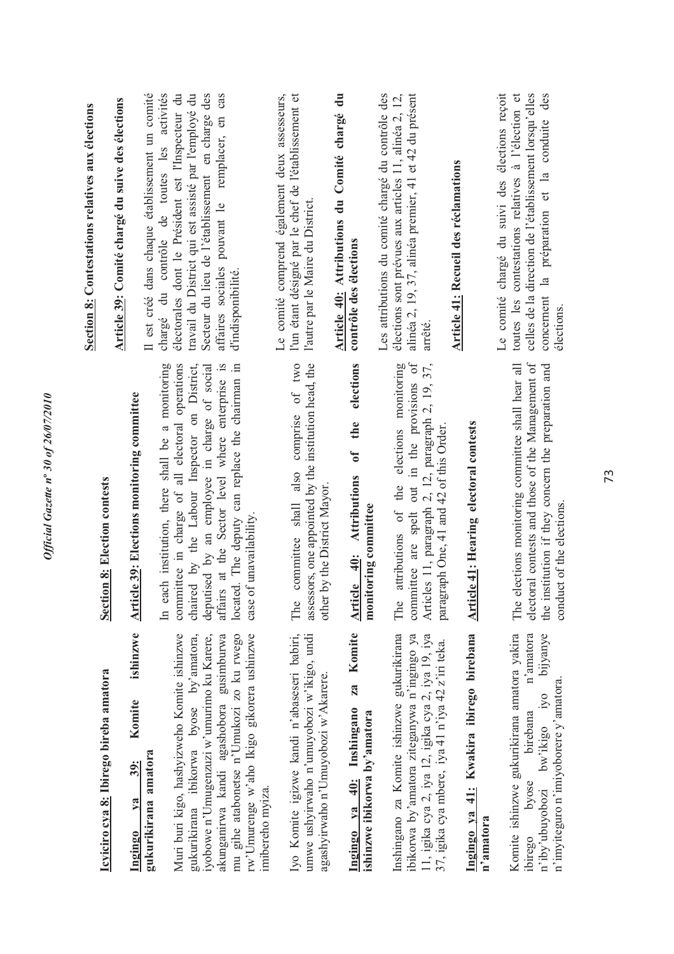|                                                                                                                                         |                                                                                                                                                                  | Section 8: Contestations relatives aux élections                                                                                                                      |
|-----------------------------------------------------------------------------------------------------------------------------------------|------------------------------------------------------------------------------------------------------------------------------------------------------------------|-----------------------------------------------------------------------------------------------------------------------------------------------------------------------|
| Icyiciro cya 8: Ibirego bireba amatora                                                                                                  | <b>Section 8: Election contests</b>                                                                                                                              | Article 39: Comité chargé du suive des élections                                                                                                                      |
| ishinzwe<br>Komite<br>39:<br>$va$<br>Ingingo                                                                                            | <b>Article 39: Elections monitoring committee</b>                                                                                                                |                                                                                                                                                                       |
| gukurikirana amatora                                                                                                                    |                                                                                                                                                                  | Il est créé dans chaque établissement un comité                                                                                                                       |
|                                                                                                                                         | In each institution, there shall be a monitoring                                                                                                                 | chargé du contrôle de toutes les activités                                                                                                                            |
| Muri buri kigo, hashyizweho Komite ishinzwe                                                                                             | committee in charge of all electoral operations                                                                                                                  | électorales dont le Président est l'Inspecteur du<br>travail du District qui est assisté par l'employé du                                                             |
| gukurikirana ibikorwa byose by'amatora,<br>iyobowe n'Umugenzuzi w'umurimo ku Karere,                                                    | chaired by the Labour Inspector on District,<br>deputised by an employee in charge of social                                                                     | Secteur du lieu de l'établissement en charge des                                                                                                                      |
| akunganirwa kandi agashobora gusimburwa                                                                                                 | affairs at the Sector level where enterprise is                                                                                                                  | remplacer, en cas<br>affaires sociales pouvant le                                                                                                                     |
| rw'Umurenge w'aho Ikigo gikorera ushinzwe<br>mu gihe atabonetse n'Umukozi zo ku rwego                                                   | located. The deputy can replace the chairman in<br>of unavailability.<br>case                                                                                    | d'indisponibilité.                                                                                                                                                    |
| imibereho myiza.                                                                                                                        |                                                                                                                                                                  | Le comité comprend également deux assesseurs,                                                                                                                         |
| Iyo Komite igizwe kandi n'abaseseri babiri,                                                                                             | of two<br>comprise<br>committee shall also<br>The                                                                                                                | l'un étant désigné par le chef de l'établissement et                                                                                                                  |
| umwe ushyirwaho n'umuyobozi w'ikigo, undi<br>agashyirwaho n'Umuyobozi w'Akarere.                                                        | assessors, one appointed by the institution head, the<br>other by the District Mayor.                                                                            | l'autre par le Maire du District                                                                                                                                      |
|                                                                                                                                         |                                                                                                                                                                  | Article 40: Attributions du Comité chargé du                                                                                                                          |
| za Komite<br>Ingingo ya 40: Inshingano                                                                                                  | elections<br>the<br>ð<br>Article 40: Attributions                                                                                                                | contrôle des élections                                                                                                                                                |
| ishinzwe ibikorwa by'amatora                                                                                                            | monitoring committee                                                                                                                                             |                                                                                                                                                                       |
|                                                                                                                                         |                                                                                                                                                                  | Les attributions du comité chargé du contrôle des                                                                                                                     |
| Inshingano za Komite ishinzwe gukurikirana<br>ibikorwa by'amatora ziteganywa n'ingingo ya                                               | $\sigma$ f<br>elections monitoring<br>out in the provisions<br>the<br>committee are spelt<br>attributions of<br>The                                              | élections sont prévues aux articles 11, alinéa 2, 12,<br>alinéa 2, 19, 37, alinéa premier, 41 et 42 du présent                                                        |
| 11, igika cya 2, iya 12, igika cya 2, iya 19, iya                                                                                       | Articles 11, paragraph 2, 12, paragraph 2, 19, 37,                                                                                                               | arrêté                                                                                                                                                                |
| 37, igika cya mbere, iya 41 n'iya 42 z'iri teka.                                                                                        | paragraph One, 41 and 42 of this Order.                                                                                                                          | Article 41: Recueil des réclamations                                                                                                                                  |
| Ingingo ya 41: Kwakira ibirego birebana                                                                                                 | <b>Article 41: Hearing electoral contests</b>                                                                                                                    |                                                                                                                                                                       |
| n'amatora                                                                                                                               |                                                                                                                                                                  |                                                                                                                                                                       |
|                                                                                                                                         |                                                                                                                                                                  | Le comité chargé du suivi des élections reçoit                                                                                                                        |
| Komite ishinzwe gukurikirana amatora yakira<br>n'amatora<br>bijyanye<br>bw'ikigo iyo<br>birebana<br>byose<br>n'iby'ubuyobozi<br>ibirego | electoral contests and those of the Management of<br>elections monitoring committee shall hear all<br>the institution if they concern the preparation and<br>The | toutes les contestations relatives à l'élection et<br>celles de la direction de l'établissement lorsqu'elles<br>des<br>conduite<br>la préparation et la<br>concernent |
| n'imyiteguro n'imiyoborere y'amatora.                                                                                                   | conduct of the elections                                                                                                                                         | élections.                                                                                                                                                            |
|                                                                                                                                         |                                                                                                                                                                  |                                                                                                                                                                       |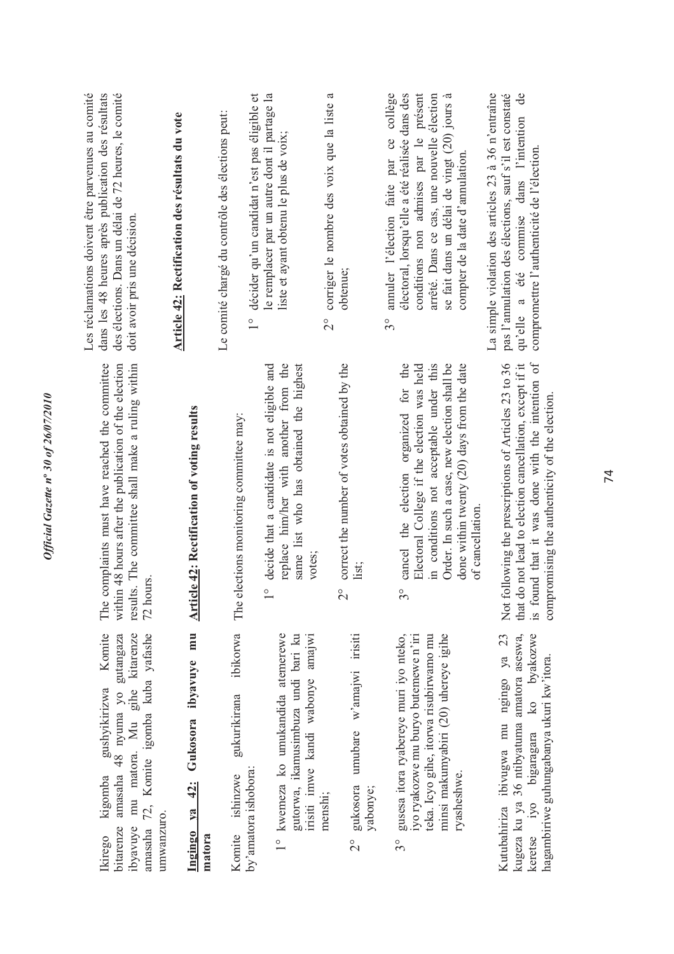| Les réclamations doivent être parvenues au comité<br>des élections. Dans un délai de 72 heures, le comité<br>dans les 48 heures après publication des résultats<br>doit avoir pris une décision.    | Article 42: Rectification des résultats du vote    | décider qu'un candidat n'est pas éligible et<br>Le comité chargé du contrôle des élections peut:<br>$\frac{1}{1}$ | le remplacer par un autre dont il partage la<br>liste et ayant obtenu le plus de voix;                                                                    | ß<br>corriger le nombre des voix que la liste<br>obtenue;<br>$\overset{\circ}{\Omega}$ | annuler l'élection faite par ce collège<br>électoral, lorsqu'elle a été réalisée dans des<br>conditions non admises par le présent<br>arrêté. Dans ce cas, une nouvelle élection<br>se fait dans un délai de vingt (20) jours à<br>compter de la date d'annulation<br>$3^{\circ}$ | La simple violation des articles 23 à 36 n'entraîne<br>qu'elle a été commise dans l'intention de<br>pas l'amulation des élections, sauf s'il est constaté<br>compromettre l'authenticité de l'élection.              |
|-----------------------------------------------------------------------------------------------------------------------------------------------------------------------------------------------------|----------------------------------------------------|-------------------------------------------------------------------------------------------------------------------|-----------------------------------------------------------------------------------------------------------------------------------------------------------|----------------------------------------------------------------------------------------|-----------------------------------------------------------------------------------------------------------------------------------------------------------------------------------------------------------------------------------------------------------------------------------|----------------------------------------------------------------------------------------------------------------------------------------------------------------------------------------------------------------------|
| complaints must have reached the committee<br>within 48 hours after the publication of the election<br>results. The committee shall make a ruling within<br>72 hours<br>The                         | <b>Article 42: Rectification of voting results</b> | elections monitoring committee may:<br>The                                                                        | replace him/her with another from the<br>same list who has obtained the highest<br>decide that a candidate is not eligible and<br>votes:<br>$\frac{1}{1}$ | correct the number of votes obtained by the<br>list;<br>$\overline{\Omega}$            | cancel the election organized for the<br>in conditions not acceptable under this<br>Order. In such a case, new election shall be<br>done within twenty (20) days from the date<br>Electoral College if the election was held<br>of cancellation<br>$3^{\circ}$                    | is found that it was done with the intention of<br>that do not lead to election cancellation, except if it<br>Not following the prescriptions of Articles 23 to 36<br>compromising the authenticity of the election. |
| Komite<br>amasaha 72, Komite igomba kuba yafashe<br>kigomba gushyikirizwa Komite<br>amasaha 48 nyuma yo gutangaza<br>mu matora. Mu gihe kitarenze<br>umwanzuro.<br>ibyavuye<br>bitarenze<br>Ikirego | Ingingo ya 42: Gukosora ibyavuye mu<br>matora      | ibikorwa<br>gukurikirana<br>by'amatora ishobora:<br>Komite ishinzwe                                               | 1° kwemeza ko umukandida atemerewe<br>gutorwa, ikamusimbuza undi bari ku<br>irisiti imwe kandi wabonye amajwi                                             | umubare w'amajwi irisiti<br>gukosora<br>yabonye;<br>menshi;<br>$\frac{1}{2}$           | gusesa itora ryabereye muri iyo nteko,<br>yo ryakozwe mu buryo butemewe n'iri<br>minsi makumyabiri (20) uhereye igihe<br>teka. Icyo gihe, itorwa risubirwamo mu<br>ryasheshwe.<br>$3^{\circ}$                                                                                     | ko byakozwe<br>Kutubahiriza ibivugwa mu ngingo ya 23<br>kugeza ku ya 36 ntibyatuma amatora aseswa,<br>hagambiriwe guhungabanya ukuri kw'itora.<br>keretse iyo bigaragara                                             |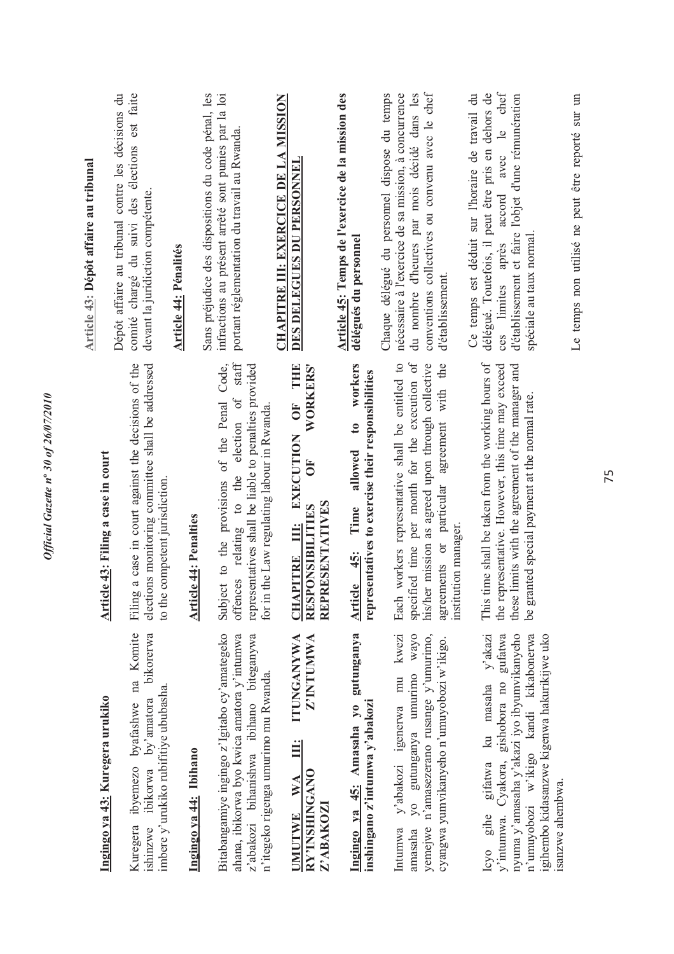|                                                                                                                                                                             |                                                                                                                                                                                                                                  | Article 43: Dépôt affaire au tribunal                                                                                                                                                                                               |
|-----------------------------------------------------------------------------------------------------------------------------------------------------------------------------|----------------------------------------------------------------------------------------------------------------------------------------------------------------------------------------------------------------------------------|-------------------------------------------------------------------------------------------------------------------------------------------------------------------------------------------------------------------------------------|
| Ingingo ya 43: Kuregera urukiko                                                                                                                                             | Article 43: Filing a case in court                                                                                                                                                                                               |                                                                                                                                                                                                                                     |
| Kuregera ibyemezo byafashwe na Komite<br>ibikorwa by'amatora bikorerwa<br>imbere y'urukiko rubifitiye ububasha.<br>ishinzwe                                                 | ig a case in court against the decisions of the<br>elections monitoring committee shall be addressed<br>to the competent jurisdiction.<br>Filin                                                                                  | comité chargé du suivi des élections est faite<br>Dépôt affaire au tribunal contre les décisions du<br>devant la juridiction compétente                                                                                             |
|                                                                                                                                                                             |                                                                                                                                                                                                                                  | <b>Article 44: Pénalités</b>                                                                                                                                                                                                        |
| Ingingo ya 44: Ibihano                                                                                                                                                      | <b>Article 44: Penalties</b>                                                                                                                                                                                                     | Sans préjudice des dispositions du code pénal, les                                                                                                                                                                                  |
| Bitabangamiye ingingo z'Igitabo cy'amategeko<br>ahana, ibikorwa byo kwica amatora y'intumwa<br>z'abakozi bihanishwa ibihano biteganywa                                      | staff<br>Subject to the provisions of the Penal Code,<br>representatives shall be liable to penalties provided<br>offences relating to the election of                                                                           | infractions au présent arrêté sont punies par la loi<br>portant réglementation du travail au Rwanda                                                                                                                                 |
| n'itegeko rigenga umurimo mu Rwanda.                                                                                                                                        | for in the Law regulating labour in Rwanda.                                                                                                                                                                                      |                                                                                                                                                                                                                                     |
| Z'INTUMWA<br><b>ITUNGANYWA</b><br>Ë<br><b>RY?INSHINGANO</b><br>$W\!A$<br>Z'ABAKOZ<br><b>UMUTWE</b>                                                                          | OF THE<br>WORKERS'<br>EXECUTION<br>ðF<br>PRESENTATIVES<br>RESPONSIBILITIES<br><b>CHAPITRE III:</b><br><b>REF</b>                                                                                                                 | CHAPITRE III: EXERCICE DE LA MISSION<br><b>DES DELEGUES DU PERSONNEL</b>                                                                                                                                                            |
| Ingingo ya 45: Amasaha yo gutunganya<br>inshingano z'intumwa y'abakozi                                                                                                      | workers<br>representatives to exercise their responsibilities<br>$\mathbf{c}$<br>allowed<br>Time<br>Article 45:                                                                                                                  | Article 45: Temps de l'exercice de la mission des<br>délégués du personnel                                                                                                                                                          |
| kwezi<br>yo gutunganya umurimo wayo<br>yemejwe n'amasezerano rusange y'umurimo,<br>cyangwa yumvikanyeho n'umuyobozi w'ikigo.<br>y'abakozi igenerwa mu<br>Intumwa<br>amasaha | specified time per month for the execution of<br>Each workers representative shall be entitled to<br>his/her mission as agreed upon through collective<br>agreement with the<br>agreements or particular<br>institution manager. | conventions collectives ou convenu avec le chef<br>Chaque délégué du personnel dispose du temps<br>nécessaire à l'exercice de sa mission, à concurrence<br>du nombre d'heures par mois décidé dans les<br>d'établissement.          |
| Icyo gihe gifatwa ku masaha y'akazi<br>n'umuyobozi w'ikigo kandi kikabonerwa<br>y'intumwa. Cyakora, gishobora no gufatwa<br>nyuma y'amasaha y'akazi iyo ibyumvikanyeho      | time shall be taken from the working hours of<br>the representative. However, this time may exceed<br>these limits with the agreement of the manager and<br>be granted special payment at the normal rate.<br>This               | Ce temps est déduit sur l'horaire de travail du<br>avec le chef<br>délégué. Toutefois, il peut être pris en dehors de<br>d'établissement et faire l'objet d'une rémunération<br>ces limites après accord<br>spéciale au taux normal |

*Official Gazette n***º** *30 of 26/07/2010* 

Official Gazette nº 30 of 26/07/2010

Le temps non utilisé ne peut être reporté sur un Le temps non utilisé ne peut être reporté sur un

n'umuyobozi w'ikigo kandi kikabonerwa igihembo kidasanzwe kigenwa hakurikijwe uko

igihembo kidasanzwe kigenwa hakurikijwe uko<br>isanzwe ahembwa.

isanzwe ahembwa.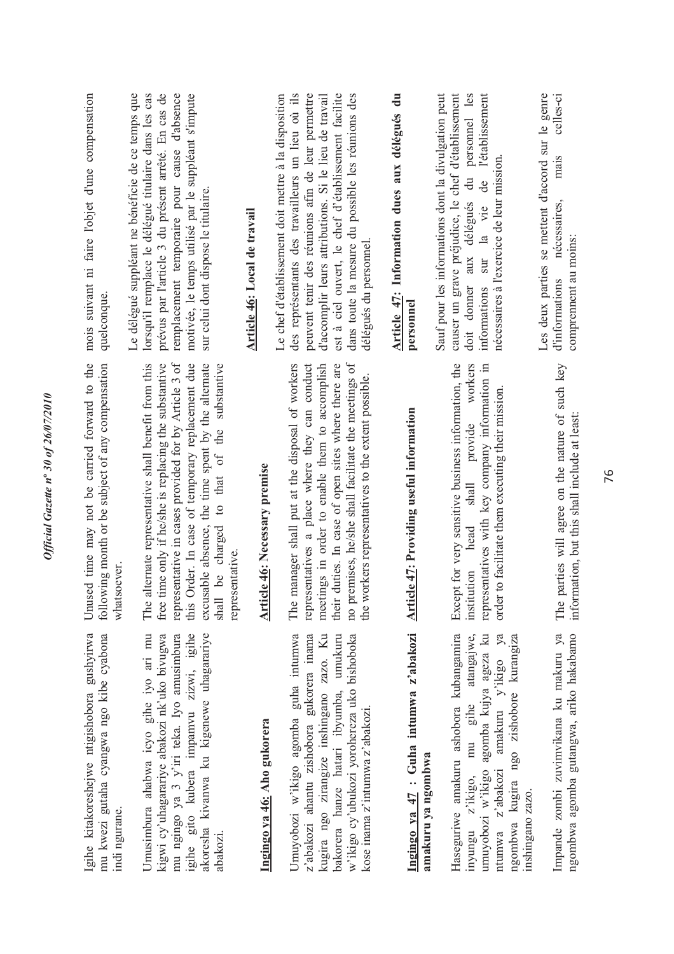| Igihe kitakoreshejwe ntigishobora gushyirwa<br>mu kwezi gutaha cyangwa ngo kibe cyabona<br>indi ngurane.                                                                                                                                                   | Unused time may not be carried forward to the<br>following month or be subject of any compensation<br>whatsoever.                                                                                                                                                                                                                | mois suivant ni faire l'objet d'une compensation<br>quelconque                                                                                                                                                                                                                                                                                               |
|------------------------------------------------------------------------------------------------------------------------------------------------------------------------------------------------------------------------------------------------------------|----------------------------------------------------------------------------------------------------------------------------------------------------------------------------------------------------------------------------------------------------------------------------------------------------------------------------------|--------------------------------------------------------------------------------------------------------------------------------------------------------------------------------------------------------------------------------------------------------------------------------------------------------------------------------------------------------------|
| Umusimbura ahabwa icyo gihe iyo ari mu<br>kigwi cy'uhagarariye abakozi nk'uko bivugwa<br>akoresha kivanwa ku kigenewe uhagarariye<br>mu ngingo ya 3 y'iri teka. Iyo amusimbura<br>igihe gito kubera impamvu zizwi, igihe                                   | representative in cases provided for by Article 3 of<br>alternate representative shall benefit from this<br>free time only if he/she is replacing the substantive<br>this Order. In case of temporary replacement due<br>excusable absence, the time spent by the alternate<br>The                                               | Le délégué suppléant ne bénéficie de ce temps que<br>prévus par l'article 3 du présent arrêté. En cas de<br>remplacement temporaire pour cause d'absence<br>motivée, le temps utilisé par le suppléant s'impute<br>lorsqu'il remplace le délégué titulaire dans les cas<br>sur celui dont dispose le titulaire.                                              |
| abakozi.                                                                                                                                                                                                                                                   | substantive<br>to that of the<br><b>Article 46: Necessary premise</b><br>be charged<br>representative.<br>shall                                                                                                                                                                                                                  | Article 46: Local de travail                                                                                                                                                                                                                                                                                                                                 |
| Ingingo ya 46: Aho gukorera                                                                                                                                                                                                                                |                                                                                                                                                                                                                                                                                                                                  |                                                                                                                                                                                                                                                                                                                                                              |
| Umuyobozi w'ikigo agomba guha intumwa<br>kugira ngo zirangize inshingano zazo. Ku<br>bakorera hanze hatari ibyumba, umukuru<br>w'ikigo cy'ubukozi yorohereza uko bishoboka<br>z'abakozi ahantu zishobora gukorera inama<br>kose inama z'intumwa z'abakozi. | manager shall put at the disposal of workers<br>no premises, he/she shall facilitate the meetings of<br>representatives a place where they can conduct<br>meetings in order to enable them to accomplish<br>duties. In case of open sites where there are<br>the workers representatives to the extent possible.<br>The<br>their | Le chef d'établissement doit mettre à la disposition<br>des représentants des travailleurs un lieu où ils<br>peuvent tenir des réunions afin de leur permettre<br>est à ciel ouvert, le chef d'établissement facilite<br>dans toute la mesure du possible les réunions des<br>d'accomplir leurs attributions. Si le lieu de travail<br>délégués du personnel |
| Ingingo ya 47 : Guha intumwa z'abakozi<br>amakuru ya ngombwa                                                                                                                                                                                               | Article 47: Providing useful information                                                                                                                                                                                                                                                                                         | Article 47: Information dues aux délégués du<br>personnel                                                                                                                                                                                                                                                                                                    |
| Haseguriwe amakuru ashobora kubangamira<br>umuyobozi w'ikigo agomba kujya ageza ku<br>amakuru y'ikigo ya<br>z'ikigo, mu gihe atangajwe,<br>ngo zishobore kurangiza<br>ntumwa z'abakozi<br>kugira<br>inshingano zazo.<br>ngombwa<br>inyungu                 | Except for very sensitive business information, the<br>workers<br>representatives with key company information in<br>order to facilitate them executing their mission.<br>provide<br>$\ensuremath{\text{shall}}$<br>head<br>institution                                                                                          | causer un grave préjudice, le chef d'établissement<br>du personnel les<br>Sauf pour les informations dont la divulgation peut<br>l'établissement<br>nécessaires à l'exercice de leur mission<br>de<br>doit donner aux délégués<br>sur la vie<br>informations                                                                                                 |
| Impande zombi zuvimvikana ku makuru ya<br>ngombwa agomba gutangwa, ariko hakabamo                                                                                                                                                                          | parties will agree on the nature of such key<br>information, but this shall include at least:<br>The                                                                                                                                                                                                                             | Les deux parties se mettent d'accord sur le genre<br>celles-ci<br>mais<br>nécessaires,<br>comprennent au moins:<br>d'informations                                                                                                                                                                                                                            |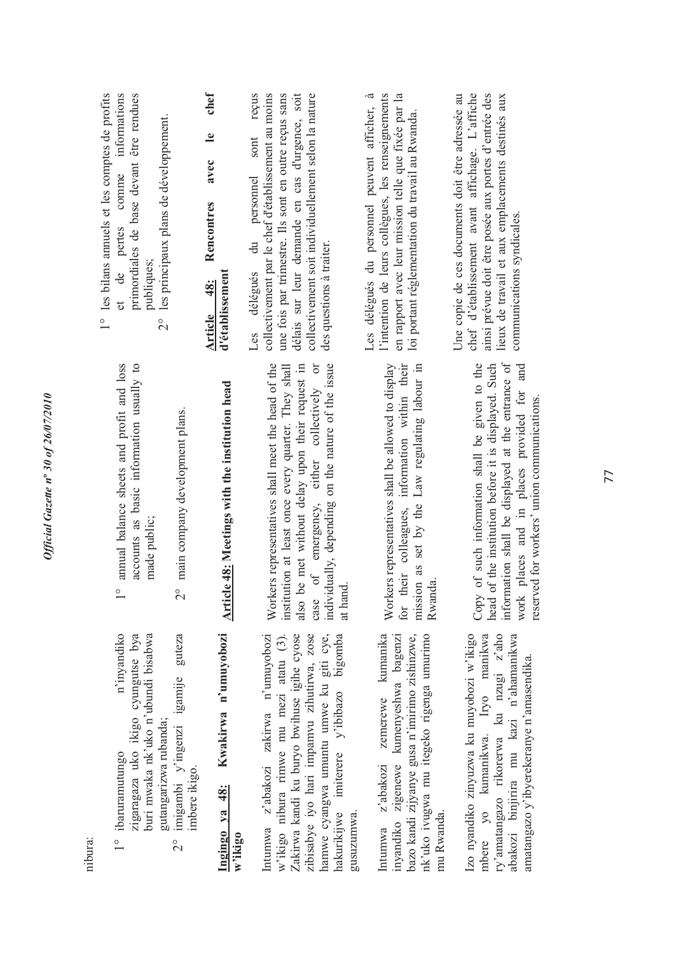| nibura:                                                                                                                                                                                                                                                                         |                                                                                                                                                                                                                                                                                | 1° les bilans annuels et les comptes de profits                                                                                                                                                                                                                                                    |
|---------------------------------------------------------------------------------------------------------------------------------------------------------------------------------------------------------------------------------------------------------------------------------|--------------------------------------------------------------------------------------------------------------------------------------------------------------------------------------------------------------------------------------------------------------------------------|----------------------------------------------------------------------------------------------------------------------------------------------------------------------------------------------------------------------------------------------------------------------------------------------------|
| n'inyandiko<br>zigaragaza uko ikigo cyungutse bya<br>buri mwaka nk'uko n'ubundi bisabwa<br>gutangarizwa rubanda;<br>$1^{\circ}$ ibaruramutungo                                                                                                                                  | annual balance sheets and profit and loss<br>accounts as basic information usually to<br>made public;<br>$\frac{0}{1}$                                                                                                                                                         | primordiales de base devant être rendues<br>informations<br>les principaux plans de développement.<br>comme<br>pertes<br>publiques;<br>et de<br>$\frac{1}{2}$                                                                                                                                      |
| imigambi y'ingenzi igamije guteza<br>imbere ikigo.<br>$\frac{1}{2}$                                                                                                                                                                                                             | 2° main company development plans.                                                                                                                                                                                                                                             |                                                                                                                                                                                                                                                                                                    |
| Kwakirwa n'umuyobozi<br>Ingingo ya 48:<br>w'ikigo                                                                                                                                                                                                                               | <b>Article 48: Meetings with the institution head</b>                                                                                                                                                                                                                          | chef<br>$\mathbf{e}$<br>avec<br>Rencontres<br>d'établissement<br>48:<br>Article                                                                                                                                                                                                                    |
| hamwe cyangwa umuntu umwe ku giti cye,<br>Intumwa z'abakozi zakirwa n'umuyobozi<br>w'ikigo nibura rimwe mu mezi atatu (3).<br>zibisabye iyo hari impamvu zihutirwa, zose<br>Zakirwa kandi ku buryo bwihuse igihe cyose<br>hakurikijwe imiterere y'ibibazo bigomba<br>gusuzumwa. | Workers representatives shall meet the head of the<br>of emergency, either collectively or<br>individually, depending on the nature of the issue<br>institution at least once every quarter. They shall<br>also be met without delay upon their request in<br>at hand.<br>case | collectivement soit individuellement selon la nature<br>reçus<br>collectivement par le chef d'établissement au moins<br>une fois par trimestre. Ils sont en outre reçus sans<br>délais sur leur demande en cas d'urgence, soit<br>sont<br>personnel<br>Les délégués du<br>des questions à traiter. |
| zemerewe kumanika<br>bazo kandi zijyanye gusa n'imirimo zishinzwe,<br>nk'uko ivugwa mu itegeko rigenga umurimo<br>inyandiko zigenewe kumenyeshwa bagenzi<br>z'abakozi<br>mu Rwanda.<br>Intumwa                                                                                  | information within their<br>Workers representatives shall be allowed to display<br>Law regulating labour in<br>mission as set by the<br>their colleagues,<br>Rwanda.<br>for                                                                                                    | $\sim$<br>l'intention de leurs collègues, les renseignements<br>en rapport avec leur mission telle que fixée par la<br>Les délégués du personnel peuvent afficher,<br>loi portant réglementation du travail au Rwanda.                                                                             |
| Izo nyandiko zinyuzwa ku muyobozi w'ikigo<br>ry'amatangazo rikorerwa ku nzugi z'aho<br>mbere yo kumanikwa. Iryo manikwa<br>abakozi binjirira mu kazi n'ahamanikwa<br>amatangazo y'ibyerekeranye n'amasendika.                                                                   | information shall be displayed at the entrance of<br>Copy of such information shall be given to the<br>head of the institution before it is displayed. Such<br>and<br>work places and in places provided for<br>reserved for workers' union communications                     | chef d'établissement avant affichage. L'affiche<br>ainsi prévue doit être posée aux portes d'entrée des<br>Une copie de ces documents doit être adressée au<br>lieux de travail et aux emplacements destinés aux<br>communications syndicales.                                                     |

reserved for workers' union communications.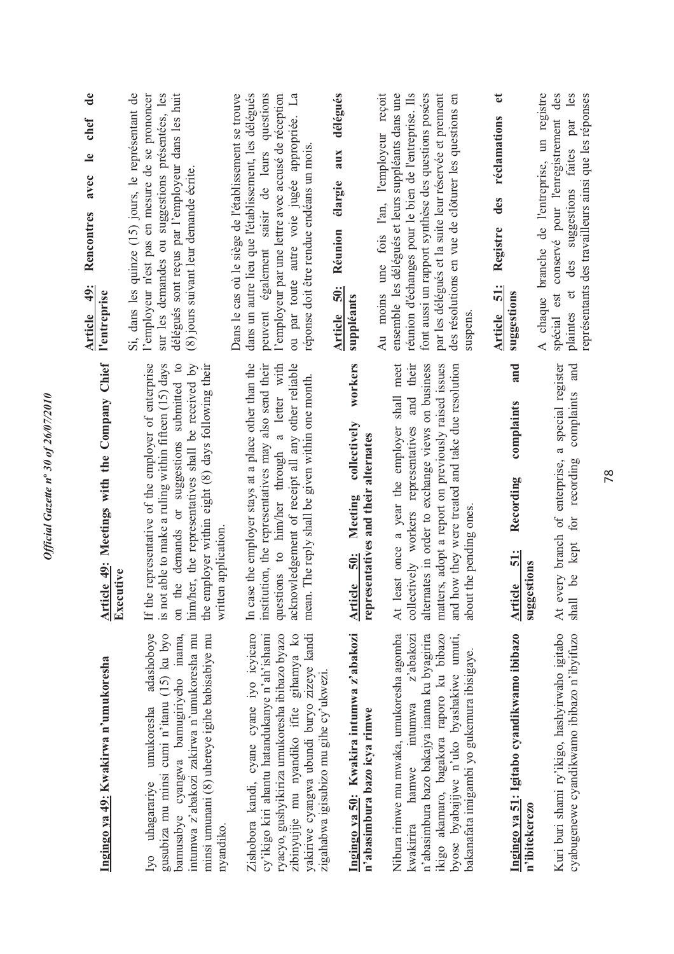| ₹                        |
|--------------------------|
| 0.077797070              |
|                          |
|                          |
|                          |
| $\overline{\phantom{a}}$ |
| Š                        |
|                          |
|                          |
| $\tilde{\theta}$<br>١.   |
|                          |
| 30                       |
|                          |
|                          |
| $\boldsymbol{n}^{\circ}$ |
|                          |
|                          |
|                          |
|                          |
|                          |
| ٢                        |
|                          |
|                          |
|                          |
| へなぶ                      |
|                          |
| Ş                        |
|                          |
|                          |
|                          |

| T Cancer |
|----------|
| i        |
| ١        |
| j        |
| i        |
|          |
| ĺ        |
| こうしょう    |
|          |

gusubiza mu minsi cumi n'itanu (15) ku byo Iyo uhagarariye umukoresha adashoboye Iyo uhagarariye umukoresha adashoboye gusubiza mu minsi cumi n'itanu (15) ku byo bamusabye cyangwa bamugiriyeho inama, intumwa z'abakozi zakirwa n'umukoresha mu minsi umunani (8) uhereye igihe babisabiye mu bamusabye cyangwa bamugiriyeho inama, intumwa z'abakozi zakirwa n'umukoresha mu minsi umunani (8) uhereye igihe babisabiye mu nyandiko. Zishobora kandi, cyane cyane iyo icyicaro Zishobora kandi, cyane cyane iyo icyicaro cy'ikigo kiri ahantu hatandukanye n'ah'ishami ryacyo, gushyikiriza umukoresha ibibazo byazo ryacyo, gushyikiriza umukoresha ibibazo byazo zibinyujije mu nyandiko ifite gihamya ko zibinyujije mu nyandiko ifite gihamya ko yakiriwe cyangwa ubundi buryo zizeye kandi cy'ikigo kiri ahantu hatandukanye n'ah'ishami yakiriwe cyangwa ubundi buryo zizeye kandi zigahabwa igisubizo mu gihe cy'ukwezi. zigahabwa igisubizo mu gihe cy'ukwezi.

### Ingingo ya 50: Kwakira intumwa z'abakozi **Ingingo ya 50: Kwakira intumwa z'abakozi**  n'abasimbura bazo icya rimwe **n'abasimbura bazo icya rimwe**

n'abasimbura bazo bakajya inama ku byagirira Nibura rimwe mu mwaka, umukoresha agomba kwakirira hamwe intumwa z'abakozi n'abasimbura bazo bakajya inama ku byagirira ikigo akamaro, bagakora raporo ku bibazo byose byabajijwe n'uko byashakiwe umuti, Nibura rimwe mu mwaka, umukoresha agomba intumwa z'abakozi ikigo akamaro, bagakora raporo ku bibazo byose byabajijwe n'uko byashakiwe umuti, bakanafata imigambi yo gukemura ibisigaye. bakanafata imigambi yo gukemura ibisigaye. hamwe kwakirira

### Article 49: Meetings with the Company Chief **Article 49: Meetings with the Company Chief Executive**

is not able to make a ruling within fifteen (15) days on the demands or suggestions submitted to If the representative of the employer of enterprise him/her, the representatives shall be received by If the representative of the employer of enterprise is not able to make a ruling within fifteen (15) days on the demands or suggestions submitted to him/her, the representatives shall be received by the employer within eight (8) days following their the employer within eight (8) days following their written application. written application.

questions to him/her through a letter with institution, the representatives may also send their acknowledgement of receipt all any other reliable In case the employer stays at a place other than the In case the employer stays at a place other than the institution, the representatives may also send their questions to him/her through a letter with acknowledgement of receipt all any other reliable mean. The reply shall be given within one month. mean. The reply shall be given within one month.

#### workers **Article 50: Meeting collectively workers**  Meeting collectively representatives and their alternates **representatives and their alternates** Article 50:

At least once a year the employer shall meet collectively workers representatives and their alternates in order to exchange views on business matters, adopt a report on previously raised issues and how they were treated and take due resolution At least once a year the employer shall meet collectively workers representatives and their alternates in order to exchange views on business matters, adopt a report on previously raised issues and how they were treated and take due resolution about the pending ones. about the pending ones.

#### **Article 49: Rencontres avec le chef de**   $\mathbf{e}$ chef  $\frac{1}{2}$ avec Rencontres Article 49: **l'entreprise**

Si, dans les quinze (15) jours, le représentant de l'employeur n'est pas en mesure de se prononcer l'employeur n'est pas en mesure de se prononcer sur les demandes ou suggestions présentées, les délégués sont reçus par l'employeur dans les huit Si, dans les quinze (15) jours, le représentant de sur les demandes ou suggestions présentées, les délégués sont reçus par l'employeur dans les huit (8) jours suivant leur demande écrite. (8) jours suivant leur demande écrite.

Dans le cas où le siège de l'établissement se trouve dans un autre lieu que l'établissement, les délégués dans un autre lieu que l'établissement, les délégués peuvent également saisir de leurs questions peuvent également saisir de leurs questions l'employeur par une lettre avec accusé de réception ou par toute autre voie jugée appropriée. La ou par toute autre voie jugée appropriée. La Dans le cas où le siège de l'établissement se trouve l'employeur par une lettre avec accusé de réception réponse doit être rendue endéans un mois. réponse doit être rendue endéans un mois.

### **Article 50: Réunion élargie aux délégués**  Réunion élargie aux délégués Article 50: **suppléants**

Au moins une fois l'an, l'employeur reçoit ensemble les délégués et leurs suppléants dans une réunion d'échanges pour le bien de l'entreprise. Ils réunion d'échanges pour le bien de l'entreprise. Ils font aussi un rapport synthèse des questions posées font aussi un rapport synthèse des questions posées par les délégués et la suite leur réservée et prennent par les délégués et la suite leur réservée et prennent des résolutions en vue de clôturer les questions en Au moins une fois l'an, l'employeur reçoit ensemble les délégués et leurs suppléants dans une des résolutions en vue de clôturer les questions en suspens.

### **Article 51: Registre des réclamations et**  Article 51: **suggestions** and **Article 51: Recording complaints and**  complaints Recording **51: suggestions Article** Ingingo ya 51: Igitabo cyandikwamo ibibazo **Ingingo ya 51: Igitabo cyandikwamo ibibazo n'ibitekerezo**

At every branch of enterprise, a special register for recording complaints and At every branch of enterprise, a special register shall be kept for recording complaints and shall be kept Kuri buri shami ry'ikigo, hashyirwaho igitabo cyabugenewe cyandikwamo ibibazo n'ibyifuzo Kuri buri shami ry'ikigo, hashyirwaho igitabo cyabugenewe cyandikwamo ibibazo n'ibyifuzo

A chaque branche de l'entreprise, un registre A chaque branche de l'entreprise, un registre spécial est conservé pour l'enregistrement des les plaintes et des suggestions faites par les spécial est conservé pour l'enregistrement des plaintes et des suggestions faites par

Registre des réclamations et

représentants des travailleurs ainsi que les réponses

représentants des travailleurs ainsi que les réponses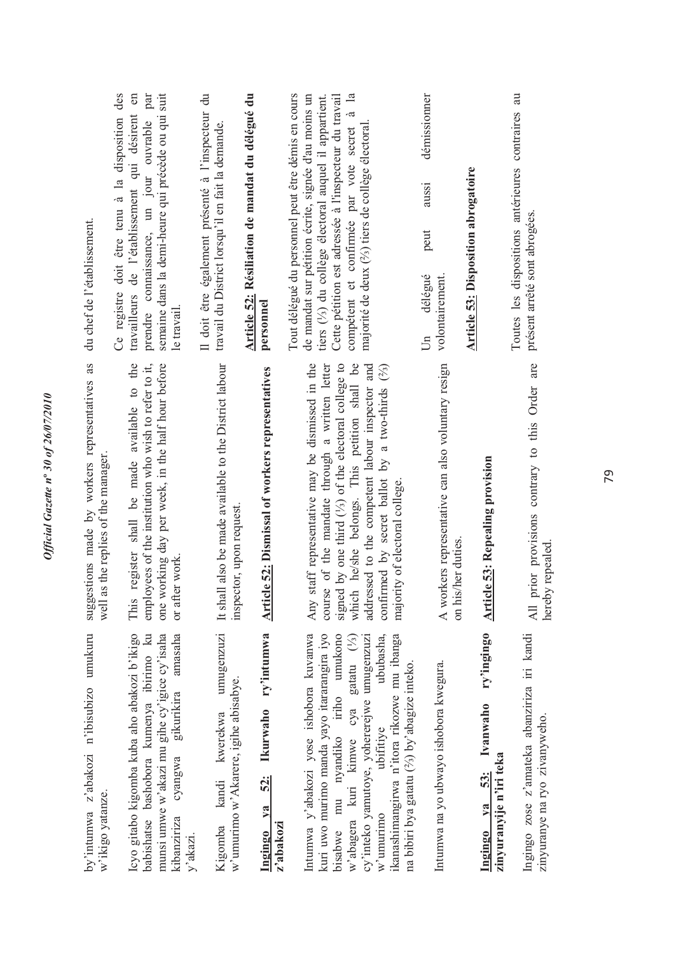| by'intumwa z'abakozi n'ibisubizo umukuru                                                                                                                                                                                                                                                                                                                   | suggestions made by workers representatives as                                                                                                                                                                                                                                                                                                                      | du chef de l'établissement.                                                                                                                                                                                                                                                                                                                 |
|------------------------------------------------------------------------------------------------------------------------------------------------------------------------------------------------------------------------------------------------------------------------------------------------------------------------------------------------------------|---------------------------------------------------------------------------------------------------------------------------------------------------------------------------------------------------------------------------------------------------------------------------------------------------------------------------------------------------------------------|---------------------------------------------------------------------------------------------------------------------------------------------------------------------------------------------------------------------------------------------------------------------------------------------------------------------------------------------|
| w'ikigo yatanze.                                                                                                                                                                                                                                                                                                                                           | well as the replies of the manager                                                                                                                                                                                                                                                                                                                                  | Ce registre doit être tenu à la disposition des                                                                                                                                                                                                                                                                                             |
| Icyo gitabo kigomba kuba aho abakozi b'ikigo<br>babishatse bashobora kumenya ibirimo ku<br>kibanziriza cyangwa gikurikira amasaha<br>munsi umwe w'akazi mu gihe cy'igice cy'isaha                                                                                                                                                                          | register shall be made available to the<br>one working day per week, in the half hour before<br>employees of the institution who wish to refer to it,<br>or after work.<br>This                                                                                                                                                                                     | semaine dans la demi-heure qui précède ou qui suit<br>$\epsilon$<br>par<br>travailleurs de l'établissement qui désirent<br>prendre connaissance, un jour ouvrable<br>le travail                                                                                                                                                             |
| umugenzuzi<br>w'umurimo w'Akarere, igihe abisabye.<br>kwerekwa<br>kandi                                                                                                                                                                                                                                                                                    | It shall also be made available to the District labour<br>inspector, upon request                                                                                                                                                                                                                                                                                   | Il doit être également présenté à l'inspecteur du<br>travail du District lorsqu'il en fait la demande.                                                                                                                                                                                                                                      |
| ry'intumwa<br>Ikurwaho<br>$\frac{52}{3}$<br>ya<br>z'abakozi                                                                                                                                                                                                                                                                                                | <b>Article 52: Dismissal of workers representatives</b>                                                                                                                                                                                                                                                                                                             | Article 52: Résiliation de mandat du délégué du<br>personnel                                                                                                                                                                                                                                                                                |
| Intumwa y'abakozi yose ishobora kuvanwa<br>kuri uwo murimo manda yayo itararangira iyo<br>bisabwe mu nyandiko iriho umukono<br>ububasha,<br>cy'inteko yamutoye, yohererejwe umugenzuzi<br>ikanashimangirwa n'itora rikozwe mu ibanga<br>w'abagera kuri kimwe cya gatatu (1/3)<br>na bibiri bya gatatu (25) by'abagize inteko.<br>ubifitiye<br>$w'$ umurimo | staff representative may be dismissed in the<br>which he/she belongs. This petition shall be<br>course of the mandate through a written letter<br>signed by one third $(\frac{1}{2})$ of the electoral college to<br>addressed to the competent labour inspector and<br>confirmed by secret ballot by a two-thirds $(2/3)$<br>majority of electoral college.<br>Any | $\mathbf{a}$<br>Tout délégué du personnel peut être démis en cours<br>de mandat sur pétition écrite, signée d'au moins un<br>Cette pétition est adressée à l'inspecteur du travail<br>tiers (1/3) du collège électoral auquel il appartient.<br>compétent et confirmée par vote secret à<br>majorité de deux (%) tiers de collège électoral |
| Intumwa na yo ubwayo ishobora kwegura.                                                                                                                                                                                                                                                                                                                     | A workers representative can also voluntary resign<br>on his/her duties.                                                                                                                                                                                                                                                                                            | démissionner<br>aussi<br>peut<br>volontairement.<br>délégué<br>$\overline{\mathbb{D}}$                                                                                                                                                                                                                                                      |
| ry'ingingo<br>Ivanwaho<br>zinyuranyije n'iri teka<br>53:<br>ya                                                                                                                                                                                                                                                                                             | <b>Article 53: Repealing provision</b>                                                                                                                                                                                                                                                                                                                              | <b>Article 53: Disposition abrogatoire</b>                                                                                                                                                                                                                                                                                                  |
| Ingingo zose z'amateka abanziriza iri kandi<br>zinyuranye na ryo zivanyweho.                                                                                                                                                                                                                                                                               | prior provisions contrary to this Order are<br>hereby repealed<br>All $\mathfrak{r}$                                                                                                                                                                                                                                                                                | Toutes les dispositions antérieures contraires au<br>présent arrêté sont abrogées.                                                                                                                                                                                                                                                          |